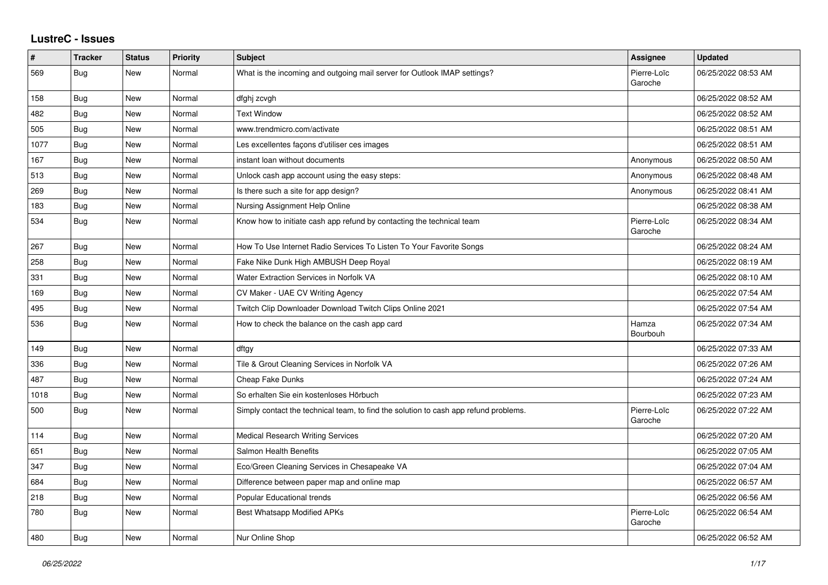## **LustreC - Issues**

| $\pmb{\#}$ | <b>Tracker</b> | <b>Status</b> | <b>Priority</b> | <b>Subject</b>                                                                       | Assignee               | <b>Updated</b>      |
|------------|----------------|---------------|-----------------|--------------------------------------------------------------------------------------|------------------------|---------------------|
| 569        | Bug            | New           | Normal          | What is the incoming and outgoing mail server for Outlook IMAP settings?             | Pierre-Loïc<br>Garoche | 06/25/2022 08:53 AM |
| 158        | Bug            | New           | Normal          | dfghj zcvgh                                                                          |                        | 06/25/2022 08:52 AM |
| 482        | Bug            | New           | Normal          | <b>Text Window</b>                                                                   |                        | 06/25/2022 08:52 AM |
| 505        | <b>Bug</b>     | New           | Normal          | www.trendmicro.com/activate                                                          |                        | 06/25/2022 08:51 AM |
| 1077       | Bug            | New           | Normal          | Les excellentes façons d'utiliser ces images                                         |                        | 06/25/2022 08:51 AM |
| 167        | Bug            | New           | Normal          | instant loan without documents                                                       | Anonymous              | 06/25/2022 08:50 AM |
| 513        | <b>Bug</b>     | New           | Normal          | Unlock cash app account using the easy steps:                                        | Anonymous              | 06/25/2022 08:48 AM |
| 269        | Bug            | New           | Normal          | Is there such a site for app design?                                                 | Anonymous              | 06/25/2022 08:41 AM |
| 183        | Bug            | New           | Normal          | Nursing Assignment Help Online                                                       |                        | 06/25/2022 08:38 AM |
| 534        | <b>Bug</b>     | <b>New</b>    | Normal          | Know how to initiate cash app refund by contacting the technical team                | Pierre-Loïc<br>Garoche | 06/25/2022 08:34 AM |
| 267        | Bug            | New           | Normal          | How To Use Internet Radio Services To Listen To Your Favorite Songs                  |                        | 06/25/2022 08:24 AM |
| 258        | <b>Bug</b>     | New           | Normal          | Fake Nike Dunk High AMBUSH Deep Royal                                                |                        | 06/25/2022 08:19 AM |
| 331        | Bug            | New           | Normal          | Water Extraction Services in Norfolk VA                                              |                        | 06/25/2022 08:10 AM |
| 169        | <b>Bug</b>     | New           | Normal          | CV Maker - UAE CV Writing Agency                                                     |                        | 06/25/2022 07:54 AM |
| 495        | <b>Bug</b>     | New           | Normal          | Twitch Clip Downloader Download Twitch Clips Online 2021                             |                        | 06/25/2022 07:54 AM |
| 536        | <b>Bug</b>     | New           | Normal          | How to check the balance on the cash app card                                        | Hamza<br>Bourbouh      | 06/25/2022 07:34 AM |
| 149        | <b>Bug</b>     | New           | Normal          | dftgy                                                                                |                        | 06/25/2022 07:33 AM |
| 336        | <b>Bug</b>     | New           | Normal          | Tile & Grout Cleaning Services in Norfolk VA                                         |                        | 06/25/2022 07:26 AM |
| 487        | <b>Bug</b>     | New           | Normal          | Cheap Fake Dunks                                                                     |                        | 06/25/2022 07:24 AM |
| 1018       | <b>Bug</b>     | New           | Normal          | So erhalten Sie ein kostenloses Hörbuch                                              |                        | 06/25/2022 07:23 AM |
| 500        | <b>Bug</b>     | New           | Normal          | Simply contact the technical team, to find the solution to cash app refund problems. | Pierre-Loïc<br>Garoche | 06/25/2022 07:22 AM |
| 114        | Bug            | New           | Normal          | <b>Medical Research Writing Services</b>                                             |                        | 06/25/2022 07:20 AM |
| 651        | <b>Bug</b>     | New           | Normal          | Salmon Health Benefits                                                               |                        | 06/25/2022 07:05 AM |
| 347        | <b>Bug</b>     | New           | Normal          | Eco/Green Cleaning Services in Chesapeake VA                                         |                        | 06/25/2022 07:04 AM |
| 684        | Bug            | New           | Normal          | Difference between paper map and online map                                          |                        | 06/25/2022 06:57 AM |
| 218        | Bug            | New           | Normal          | Popular Educational trends                                                           |                        | 06/25/2022 06:56 AM |
| 780        | <b>Bug</b>     | <b>New</b>    | Normal          | Best Whatsapp Modified APKs                                                          | Pierre-Loïc<br>Garoche | 06/25/2022 06:54 AM |
| 480        | Bug            | New           | Normal          | Nur Online Shop                                                                      |                        | 06/25/2022 06:52 AM |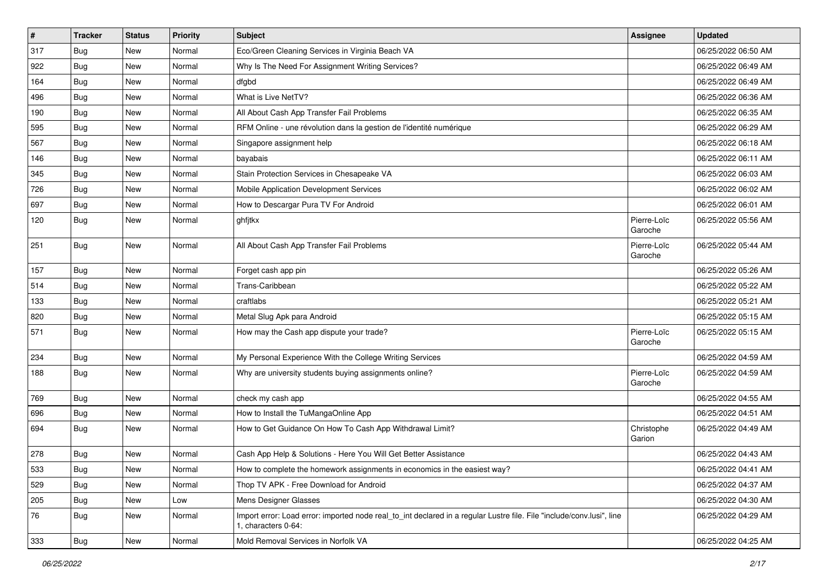| $\vert$ # | <b>Tracker</b> | <b>Status</b> | <b>Priority</b> | Subject                                                                                                                                      | <b>Assignee</b>        | <b>Updated</b>      |
|-----------|----------------|---------------|-----------------|----------------------------------------------------------------------------------------------------------------------------------------------|------------------------|---------------------|
| 317       | <b>Bug</b>     | New           | Normal          | Eco/Green Cleaning Services in Virginia Beach VA                                                                                             |                        | 06/25/2022 06:50 AM |
| 922       | <b>Bug</b>     | <b>New</b>    | Normal          | Why Is The Need For Assignment Writing Services?                                                                                             |                        | 06/25/2022 06:49 AM |
| 164       | <b>Bug</b>     | New           | Normal          | dfgbd                                                                                                                                        |                        | 06/25/2022 06:49 AM |
| 496       | <b>Bug</b>     | New           | Normal          | What is Live NetTV?                                                                                                                          |                        | 06/25/2022 06:36 AM |
| 190       | <b>Bug</b>     | <b>New</b>    | Normal          | All About Cash App Transfer Fail Problems                                                                                                    |                        | 06/25/2022 06:35 AM |
| 595       | <b>Bug</b>     | New           | Normal          | RFM Online - une révolution dans la gestion de l'identité numérique                                                                          |                        | 06/25/2022 06:29 AM |
| 567       | Bug            | New           | Normal          | Singapore assignment help                                                                                                                    |                        | 06/25/2022 06:18 AM |
| 146       | Bug            | New           | Normal          | bayabais                                                                                                                                     |                        | 06/25/2022 06:11 AM |
| 345       | <b>Bug</b>     | New           | Normal          | Stain Protection Services in Chesapeake VA                                                                                                   |                        | 06/25/2022 06:03 AM |
| 726       | Bug            | <b>New</b>    | Normal          | Mobile Application Development Services                                                                                                      |                        | 06/25/2022 06:02 AM |
| 697       | <b>Bug</b>     | New           | Normal          | How to Descargar Pura TV For Android                                                                                                         |                        | 06/25/2022 06:01 AM |
| 120       | <b>Bug</b>     | New           | Normal          | ghfjtkx                                                                                                                                      | Pierre-Loïc<br>Garoche | 06/25/2022 05:56 AM |
| 251       | Bug            | <b>New</b>    | Normal          | All About Cash App Transfer Fail Problems                                                                                                    | Pierre-Loïc<br>Garoche | 06/25/2022 05:44 AM |
| 157       | <b>Bug</b>     | New           | Normal          | Forget cash app pin                                                                                                                          |                        | 06/25/2022 05:26 AM |
| 514       | <b>Bug</b>     | New           | Normal          | Trans-Caribbean                                                                                                                              |                        | 06/25/2022 05:22 AM |
| 133       | Bug            | <b>New</b>    | Normal          | craftlabs                                                                                                                                    |                        | 06/25/2022 05:21 AM |
| 820       | Bug            | New           | Normal          | Metal Slug Apk para Android                                                                                                                  |                        | 06/25/2022 05:15 AM |
| 571       | <b>Bug</b>     | New           | Normal          | How may the Cash app dispute your trade?                                                                                                     | Pierre-Loïc<br>Garoche | 06/25/2022 05:15 AM |
| 234       | <b>Bug</b>     | <b>New</b>    | Normal          | My Personal Experience With the College Writing Services                                                                                     |                        | 06/25/2022 04:59 AM |
| 188       | Bug            | New           | Normal          | Why are university students buying assignments online?                                                                                       | Pierre-Loïc<br>Garoche | 06/25/2022 04:59 AM |
| 769       | <b>Bug</b>     | New           | Normal          | check my cash app                                                                                                                            |                        | 06/25/2022 04:55 AM |
| 696       | Bug            | <b>New</b>    | Normal          | How to Install the TuMangaOnline App                                                                                                         |                        | 06/25/2022 04:51 AM |
| 694       | Bug            | New           | Normal          | How to Get Guidance On How To Cash App Withdrawal Limit?                                                                                     | Christophe<br>Garion   | 06/25/2022 04:49 AM |
| 278       | Bug            | <b>New</b>    | Normal          | Cash App Help & Solutions - Here You Will Get Better Assistance                                                                              |                        | 06/25/2022 04:43 AM |
| 533       | Bug            | New           | Normal          | How to complete the homework assignments in economics in the easiest way?                                                                    |                        | 06/25/2022 04:41 AM |
| 529       | Bug            | New           | Normal          | Thop TV APK - Free Download for Android                                                                                                      |                        | 06/25/2022 04:37 AM |
| 205       | <b>Bug</b>     | New           | Low             | Mens Designer Glasses                                                                                                                        |                        | 06/25/2022 04:30 AM |
| 76        | Bug            | New           | Normal          | Import error: Load error: imported node real_to_int declared in a regular Lustre file. File "include/conv.lusi", line<br>1, characters 0-64: |                        | 06/25/2022 04:29 AM |
| 333       | <b>Bug</b>     | New           | Normal          | Mold Removal Services in Norfolk VA                                                                                                          |                        | 06/25/2022 04:25 AM |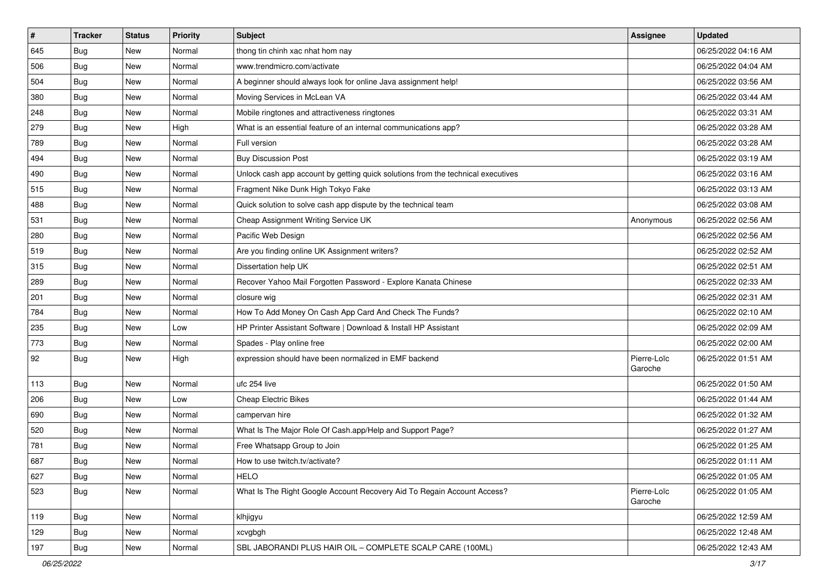| $\sharp$ | <b>Tracker</b> | <b>Status</b> | <b>Priority</b> | <b>Subject</b>                                                                   | <b>Assignee</b>        | <b>Updated</b>      |
|----------|----------------|---------------|-----------------|----------------------------------------------------------------------------------|------------------------|---------------------|
| 645      | <b>Bug</b>     | New           | Normal          | thong tin chinh xac nhat hom nay                                                 |                        | 06/25/2022 04:16 AM |
| 506      | Bug            | <b>New</b>    | Normal          | www.trendmicro.com/activate                                                      |                        | 06/25/2022 04:04 AM |
| 504      | Bug            | New           | Normal          | A beginner should always look for online Java assignment help!                   |                        | 06/25/2022 03:56 AM |
| 380      | <b>Bug</b>     | New           | Normal          | Moving Services in McLean VA                                                     |                        | 06/25/2022 03:44 AM |
| 248      | Bug            | New           | Normal          | Mobile ringtones and attractiveness ringtones                                    |                        | 06/25/2022 03:31 AM |
| 279      | <b>Bug</b>     | New           | High            | What is an essential feature of an internal communications app?                  |                        | 06/25/2022 03:28 AM |
| 789      | <b>Bug</b>     | New           | Normal          | Full version                                                                     |                        | 06/25/2022 03:28 AM |
| 494      | Bug            | New           | Normal          | <b>Buy Discussion Post</b>                                                       |                        | 06/25/2022 03:19 AM |
| 490      | <b>Bug</b>     | New           | Normal          | Unlock cash app account by getting quick solutions from the technical executives |                        | 06/25/2022 03:16 AM |
| 515      | Bug            | New           | Normal          | Fragment Nike Dunk High Tokyo Fake                                               |                        | 06/25/2022 03:13 AM |
| 488      | <b>Bug</b>     | New           | Normal          | Quick solution to solve cash app dispute by the technical team                   |                        | 06/25/2022 03:08 AM |
| 531      | <b>Bug</b>     | New           | Normal          | Cheap Assignment Writing Service UK                                              | Anonymous              | 06/25/2022 02:56 AM |
| 280      | Bug            | New           | Normal          | Pacific Web Design                                                               |                        | 06/25/2022 02:56 AM |
| 519      | <b>Bug</b>     | New           | Normal          | Are you finding online UK Assignment writers?                                    |                        | 06/25/2022 02:52 AM |
| 315      | Bug            | New           | Normal          | Dissertation help UK                                                             |                        | 06/25/2022 02:51 AM |
| 289      | Bug            | New           | Normal          | Recover Yahoo Mail Forgotten Password - Explore Kanata Chinese                   |                        | 06/25/2022 02:33 AM |
| 201      | <b>Bug</b>     | New           | Normal          | closure wig                                                                      |                        | 06/25/2022 02:31 AM |
| 784      | <b>Bug</b>     | New           | Normal          | How To Add Money On Cash App Card And Check The Funds?                           |                        | 06/25/2022 02:10 AM |
| 235      | Bug            | New           | Low             | HP Printer Assistant Software   Download & Install HP Assistant                  |                        | 06/25/2022 02:09 AM |
| 773      | <b>Bug</b>     | <b>New</b>    | Normal          | Spades - Play online free                                                        |                        | 06/25/2022 02:00 AM |
| 92       | Bug            | New           | High            | expression should have been normalized in EMF backend                            | Pierre-Loïc<br>Garoche | 06/25/2022 01:51 AM |
| 113      | Bug            | New           | Normal          | ufc 254 live                                                                     |                        | 06/25/2022 01:50 AM |
| 206      | <b>Bug</b>     | New           | Low             | <b>Cheap Electric Bikes</b>                                                      |                        | 06/25/2022 01:44 AM |
| 690      | <b>Bug</b>     | New           | Normal          | campervan hire                                                                   |                        | 06/25/2022 01:32 AM |
| 520      | <b>Bug</b>     | New           | Normal          | What Is The Major Role Of Cash.app/Help and Support Page?                        |                        | 06/25/2022 01:27 AM |
| 781      | <b>Bug</b>     | New           | Normal          | Free Whatsapp Group to Join                                                      |                        | 06/25/2022 01:25 AM |
| 687      | <b>Bug</b>     | New           | Normal          | How to use twitch.tv/activate?                                                   |                        | 06/25/2022 01:11 AM |
| 627      | Bug            | New           | Normal          | <b>HELO</b>                                                                      |                        | 06/25/2022 01:05 AM |
| 523      | Bug            | New           | Normal          | What Is The Right Google Account Recovery Aid To Regain Account Access?          | Pierre-Loïc<br>Garoche | 06/25/2022 01:05 AM |
| 119      | Bug            | New           | Normal          | klhjigyu                                                                         |                        | 06/25/2022 12:59 AM |
| 129      | <b>Bug</b>     | New           | Normal          | xcvgbgh                                                                          |                        | 06/25/2022 12:48 AM |
| 197      | <b>Bug</b>     | New           | Normal          | SBL JABORANDI PLUS HAIR OIL - COMPLETE SCALP CARE (100ML)                        |                        | 06/25/2022 12:43 AM |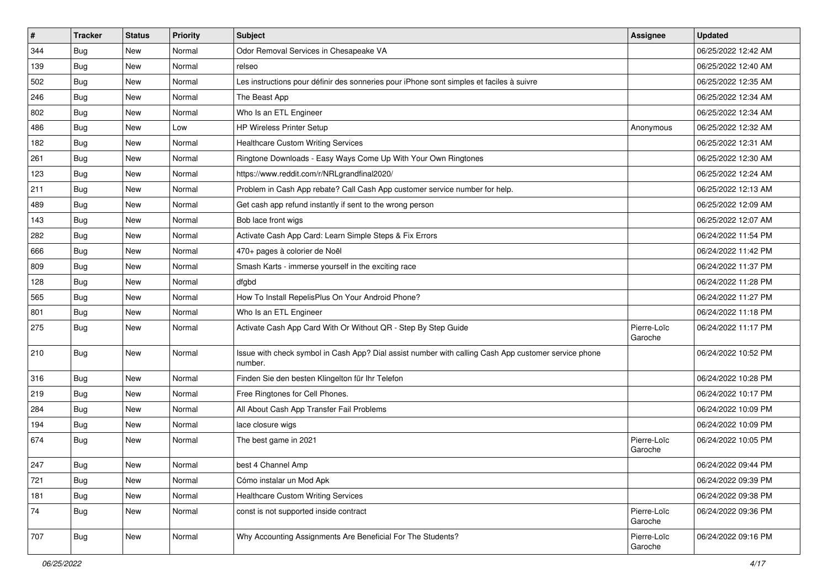| $\sharp$ | <b>Tracker</b> | <b>Status</b> | <b>Priority</b> | Subject                                                                                                         | Assignee               | <b>Updated</b>      |
|----------|----------------|---------------|-----------------|-----------------------------------------------------------------------------------------------------------------|------------------------|---------------------|
| 344      | <b>Bug</b>     | New           | Normal          | Odor Removal Services in Chesapeake VA                                                                          |                        | 06/25/2022 12:42 AM |
| 139      | <b>Bug</b>     | New           | Normal          | relseo                                                                                                          |                        | 06/25/2022 12:40 AM |
| 502      | <b>Bug</b>     | New           | Normal          | Les instructions pour définir des sonneries pour iPhone sont simples et faciles à suivre                        |                        | 06/25/2022 12:35 AM |
| 246      | Bug            | New           | Normal          | The Beast App                                                                                                   |                        | 06/25/2022 12:34 AM |
| 802      | <b>Bug</b>     | New           | Normal          | Who Is an ETL Engineer                                                                                          |                        | 06/25/2022 12:34 AM |
| 486      | <b>Bug</b>     | New           | Low             | <b>HP Wireless Printer Setup</b>                                                                                | Anonymous              | 06/25/2022 12:32 AM |
| 182      | Bug            | <b>New</b>    | Normal          | <b>Healthcare Custom Writing Services</b>                                                                       |                        | 06/25/2022 12:31 AM |
| 261      | Bug            | New           | Normal          | Ringtone Downloads - Easy Ways Come Up With Your Own Ringtones                                                  |                        | 06/25/2022 12:30 AM |
| 123      | <b>Bug</b>     | New           | Normal          | https://www.reddit.com/r/NRLgrandfinal2020/                                                                     |                        | 06/25/2022 12:24 AM |
| 211      | Bug            | New           | Normal          | Problem in Cash App rebate? Call Cash App customer service number for help.                                     |                        | 06/25/2022 12:13 AM |
| 489      | <b>Bug</b>     | New           | Normal          | Get cash app refund instantly if sent to the wrong person                                                       |                        | 06/25/2022 12:09 AM |
| 143      | Bug            | New           | Normal          | Bob lace front wigs                                                                                             |                        | 06/25/2022 12:07 AM |
| 282      | Bug            | New           | Normal          | Activate Cash App Card: Learn Simple Steps & Fix Errors                                                         |                        | 06/24/2022 11:54 PM |
| 666      | <b>Bug</b>     | New           | Normal          | 470+ pages à colorier de Noël                                                                                   |                        | 06/24/2022 11:42 PM |
| 809      | Bug            | New           | Normal          | Smash Karts - immerse yourself in the exciting race                                                             |                        | 06/24/2022 11:37 PM |
| 128      | <b>Bug</b>     | New           | Normal          | dfgbd                                                                                                           |                        | 06/24/2022 11:28 PM |
| 565      | Bug            | New           | Normal          | How To Install RepelisPlus On Your Android Phone?                                                               |                        | 06/24/2022 11:27 PM |
| 801      | <b>Bug</b>     | New           | Normal          | Who Is an ETL Engineer                                                                                          |                        | 06/24/2022 11:18 PM |
| 275      | Bug            | New           | Normal          | Activate Cash App Card With Or Without QR - Step By Step Guide                                                  | Pierre-Loïc<br>Garoche | 06/24/2022 11:17 PM |
| 210      | Bug            | New           | Normal          | Issue with check symbol in Cash App? Dial assist number with calling Cash App customer service phone<br>number. |                        | 06/24/2022 10:52 PM |
| 316      | Bug            | New           | Normal          | Finden Sie den besten Klingelton für Ihr Telefon                                                                |                        | 06/24/2022 10:28 PM |
| 219      | <b>Bug</b>     | New           | Normal          | Free Ringtones for Cell Phones.                                                                                 |                        | 06/24/2022 10:17 PM |
| 284      | Bug            | New           | Normal          | All About Cash App Transfer Fail Problems                                                                       |                        | 06/24/2022 10:09 PM |
| 194      | <b>Bug</b>     | New           | Normal          | lace closure wigs                                                                                               |                        | 06/24/2022 10:09 PM |
| 674      | Bug            | New           | Normal          | The best game in 2021                                                                                           | Pierre-Loïc<br>Garoche | 06/24/2022 10:05 PM |
| 247      | Bug            | New           | Normal          | best 4 Channel Amp                                                                                              |                        | 06/24/2022 09:44 PM |
| 721      | Bug            | New           | Normal          | Cómo instalar un Mod Apk                                                                                        |                        | 06/24/2022 09:39 PM |
| 181      | Bug            | New           | Normal          | <b>Healthcare Custom Writing Services</b>                                                                       |                        | 06/24/2022 09:38 PM |
| 74       | <b>Bug</b>     | New           | Normal          | const is not supported inside contract                                                                          | Pierre-Loïc<br>Garoche | 06/24/2022 09:36 PM |
| 707      | Bug            | New           | Normal          | Why Accounting Assignments Are Beneficial For The Students?                                                     | Pierre-Loïc<br>Garoche | 06/24/2022 09:16 PM |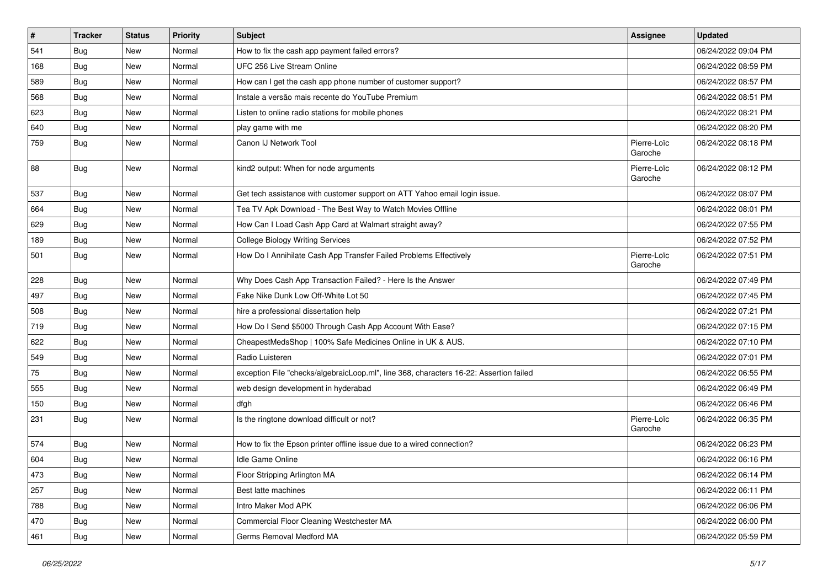| $\pmb{\#}$ | <b>Tracker</b> | <b>Status</b> | <b>Priority</b> | Subject                                                                                | Assignee               | <b>Updated</b>      |
|------------|----------------|---------------|-----------------|----------------------------------------------------------------------------------------|------------------------|---------------------|
| 541        | <b>Bug</b>     | New           | Normal          | How to fix the cash app payment failed errors?                                         |                        | 06/24/2022 09:04 PM |
| 168        | <b>Bug</b>     | <b>New</b>    | Normal          | UFC 256 Live Stream Online                                                             |                        | 06/24/2022 08:59 PM |
| 589        | Bug            | New           | Normal          | How can I get the cash app phone number of customer support?                           |                        | 06/24/2022 08:57 PM |
| 568        | <b>Bug</b>     | New           | Normal          | Instale a versão mais recente do YouTube Premium                                       |                        | 06/24/2022 08:51 PM |
| 623        | Bug            | <b>New</b>    | Normal          | Listen to online radio stations for mobile phones                                      |                        | 06/24/2022 08:21 PM |
| 640        | Bug            | New           | Normal          | play game with me                                                                      |                        | 06/24/2022 08:20 PM |
| 759        | Bug            | New           | Normal          | Canon IJ Network Tool                                                                  | Pierre-Loïc<br>Garoche | 06/24/2022 08:18 PM |
| 88         | <b>Bug</b>     | <b>New</b>    | Normal          | kind2 output: When for node arguments                                                  | Pierre-Loïc<br>Garoche | 06/24/2022 08:12 PM |
| 537        | <b>Bug</b>     | New           | Normal          | Get tech assistance with customer support on ATT Yahoo email login issue.              |                        | 06/24/2022 08:07 PM |
| 664        | Bug            | New           | Normal          | Tea TV Apk Download - The Best Way to Watch Movies Offline                             |                        | 06/24/2022 08:01 PM |
| 629        | Bug            | <b>New</b>    | Normal          | How Can I Load Cash App Card at Walmart straight away?                                 |                        | 06/24/2022 07:55 PM |
| 189        | <b>Bug</b>     | New           | Normal          | <b>College Biology Writing Services</b>                                                |                        | 06/24/2022 07:52 PM |
| 501        | Bug            | New           | Normal          | How Do I Annihilate Cash App Transfer Failed Problems Effectively                      | Pierre-Loïc<br>Garoche | 06/24/2022 07:51 PM |
| 228        | Bug            | <b>New</b>    | Normal          | Why Does Cash App Transaction Failed? - Here Is the Answer                             |                        | 06/24/2022 07:49 PM |
| 497        | <b>Bug</b>     | <b>New</b>    | Normal          | Fake Nike Dunk Low Off-White Lot 50                                                    |                        | 06/24/2022 07:45 PM |
| 508        | Bug            | New           | Normal          | hire a professional dissertation help                                                  |                        | 06/24/2022 07:21 PM |
| 719        | <b>Bug</b>     | New           | Normal          | How Do I Send \$5000 Through Cash App Account With Ease?                               |                        | 06/24/2022 07:15 PM |
| 622        | Bug            | <b>New</b>    | Normal          | CheapestMedsShop   100% Safe Medicines Online in UK & AUS.                             |                        | 06/24/2022 07:10 PM |
| 549        | <b>Bug</b>     | New           | Normal          | Radio Luisteren                                                                        |                        | 06/24/2022 07:01 PM |
| 75         | <b>Bug</b>     | New           | Normal          | exception File "checks/algebraicLoop.ml", line 368, characters 16-22: Assertion failed |                        | 06/24/2022 06:55 PM |
| 555        | Bug            | New           | Normal          | web design development in hyderabad                                                    |                        | 06/24/2022 06:49 PM |
| 150        | <b>Bug</b>     | New           | Normal          | dfgh                                                                                   |                        | 06/24/2022 06:46 PM |
| 231        | Bug            | <b>New</b>    | Normal          | Is the ringtone download difficult or not?                                             | Pierre-Loïc<br>Garoche | 06/24/2022 06:35 PM |
| 574        | Bug            | New           | Normal          | How to fix the Epson printer offline issue due to a wired connection?                  |                        | 06/24/2022 06:23 PM |
| 604        | <b>Bug</b>     | <b>New</b>    | Normal          | Idle Game Online                                                                       |                        | 06/24/2022 06:16 PM |
| 473        | <b>Bug</b>     | New           | Normal          | Floor Stripping Arlington MA                                                           |                        | 06/24/2022 06:14 PM |
| 257        | <b>Bug</b>     | <b>New</b>    | Normal          | Best latte machines                                                                    |                        | 06/24/2022 06:11 PM |
| 788        | <b>Bug</b>     | New           | Normal          | Intro Maker Mod APK                                                                    |                        | 06/24/2022 06:06 PM |
| 470        | <b>Bug</b>     | New           | Normal          | Commercial Floor Cleaning Westchester MA                                               |                        | 06/24/2022 06:00 PM |
| 461        | Bug            | New           | Normal          | Germs Removal Medford MA                                                               |                        | 06/24/2022 05:59 PM |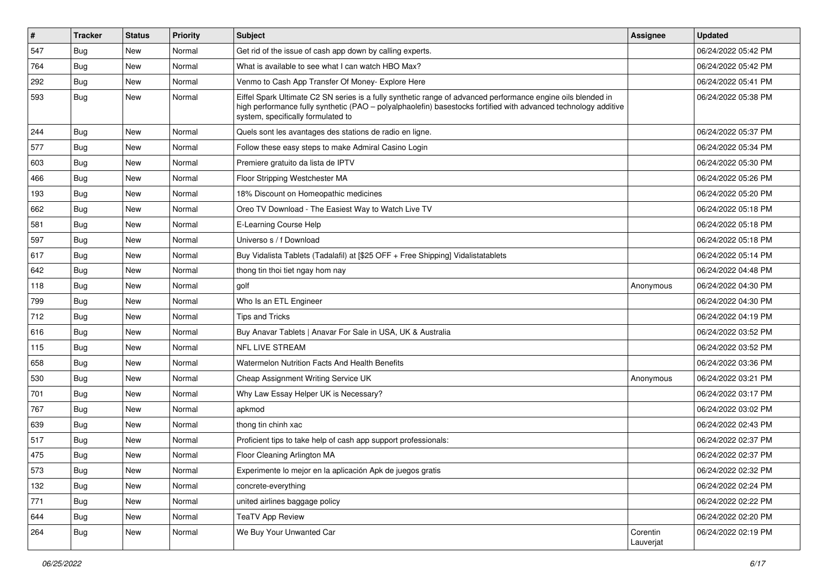| #   | Tracker    | <b>Status</b> | <b>Priority</b> | Subject                                                                                                                                                                                                                                                               | <b>Assignee</b>       | <b>Updated</b>      |
|-----|------------|---------------|-----------------|-----------------------------------------------------------------------------------------------------------------------------------------------------------------------------------------------------------------------------------------------------------------------|-----------------------|---------------------|
| 547 | <b>Bug</b> | New           | Normal          | Get rid of the issue of cash app down by calling experts.                                                                                                                                                                                                             |                       | 06/24/2022 05:42 PM |
| 764 | Bug        | <b>New</b>    | Normal          | What is available to see what I can watch HBO Max?                                                                                                                                                                                                                    |                       | 06/24/2022 05:42 PM |
| 292 | Bug        | New           | Normal          | Venmo to Cash App Transfer Of Money- Explore Here                                                                                                                                                                                                                     |                       | 06/24/2022 05:41 PM |
| 593 | <b>Bug</b> | New           | Normal          | Eiffel Spark Ultimate C2 SN series is a fully synthetic range of advanced performance engine oils blended in<br>high performance fully synthetic (PAO - polyalphaolefin) basestocks fortified with advanced technology additive<br>system, specifically formulated to |                       | 06/24/2022 05:38 PM |
| 244 | Bug        | <b>New</b>    | Normal          | Quels sont les avantages des stations de radio en ligne.                                                                                                                                                                                                              |                       | 06/24/2022 05:37 PM |
| 577 | Bug        | New           | Normal          | Follow these easy steps to make Admiral Casino Login                                                                                                                                                                                                                  |                       | 06/24/2022 05:34 PM |
| 603 | Bug        | New           | Normal          | Premiere gratuito da lista de IPTV                                                                                                                                                                                                                                    |                       | 06/24/2022 05:30 PM |
| 466 | Bug        | <b>New</b>    | Normal          | Floor Stripping Westchester MA                                                                                                                                                                                                                                        |                       | 06/24/2022 05:26 PM |
| 193 | <b>Bug</b> | New           | Normal          | 18% Discount on Homeopathic medicines                                                                                                                                                                                                                                 |                       | 06/24/2022 05:20 PM |
| 662 | Bug        | New           | Normal          | Oreo TV Download - The Easiest Way to Watch Live TV                                                                                                                                                                                                                   |                       | 06/24/2022 05:18 PM |
| 581 | Bug        | New           | Normal          | E-Learning Course Help                                                                                                                                                                                                                                                |                       | 06/24/2022 05:18 PM |
| 597 | Bug        | New           | Normal          | Universo s / f Download                                                                                                                                                                                                                                               |                       | 06/24/2022 05:18 PM |
| 617 | Bug        | <b>New</b>    | Normal          | Buy Vidalista Tablets (Tadalafil) at [\$25 OFF + Free Shipping] Vidalistatablets                                                                                                                                                                                      |                       | 06/24/2022 05:14 PM |
| 642 | Bug        | New           | Normal          | thong tin thoi tiet ngay hom nay                                                                                                                                                                                                                                      |                       | 06/24/2022 04:48 PM |
| 118 | Bug        | New           | Normal          | golf                                                                                                                                                                                                                                                                  | Anonymous             | 06/24/2022 04:30 PM |
| 799 | Bug        | New           | Normal          | Who Is an ETL Engineer                                                                                                                                                                                                                                                |                       | 06/24/2022 04:30 PM |
| 712 | Bug        | New           | Normal          | <b>Tips and Tricks</b>                                                                                                                                                                                                                                                |                       | 06/24/2022 04:19 PM |
| 616 | <b>Bug</b> | New           | Normal          | Buy Anavar Tablets   Anavar For Sale in USA, UK & Australia                                                                                                                                                                                                           |                       | 06/24/2022 03:52 PM |
| 115 | Bug        | New           | Normal          | <b>NFL LIVE STREAM</b>                                                                                                                                                                                                                                                |                       | 06/24/2022 03:52 PM |
| 658 | Bug        | New           | Normal          | Watermelon Nutrition Facts And Health Benefits                                                                                                                                                                                                                        |                       | 06/24/2022 03:36 PM |
| 530 | Bug        | <b>New</b>    | Normal          | Cheap Assignment Writing Service UK                                                                                                                                                                                                                                   | Anonymous             | 06/24/2022 03:21 PM |
| 701 | <b>Bug</b> | New           | Normal          | Why Law Essay Helper UK is Necessary?                                                                                                                                                                                                                                 |                       | 06/24/2022 03:17 PM |
| 767 | Bug        | New           | Normal          | apkmod                                                                                                                                                                                                                                                                |                       | 06/24/2022 03:02 PM |
| 639 | Bug        | New           | Normal          | thong tin chinh xac                                                                                                                                                                                                                                                   |                       | 06/24/2022 02:43 PM |
| 517 | <b>Bug</b> | New           | Normal          | Proficient tips to take help of cash app support professionals:                                                                                                                                                                                                       |                       | 06/24/2022 02:37 PM |
| 475 | Bug        | New           | Normal          | Floor Cleaning Arlington MA                                                                                                                                                                                                                                           |                       | 06/24/2022 02:37 PM |
| 573 | <b>Bug</b> | New           | Normal          | Experimente lo mejor en la aplicación Apk de juegos gratis                                                                                                                                                                                                            |                       | 06/24/2022 02:32 PM |
| 132 | <b>Bug</b> | New           | Normal          | concrete-everything                                                                                                                                                                                                                                                   |                       | 06/24/2022 02:24 PM |
| 771 | Bug        | <b>New</b>    | Normal          | united airlines baggage policy                                                                                                                                                                                                                                        |                       | 06/24/2022 02:22 PM |
| 644 | Bug        | New           | Normal          | <b>TeaTV App Review</b>                                                                                                                                                                                                                                               |                       | 06/24/2022 02:20 PM |
| 264 | <b>Bug</b> | New           | Normal          | We Buy Your Unwanted Car                                                                                                                                                                                                                                              | Corentin<br>Lauverjat | 06/24/2022 02:19 PM |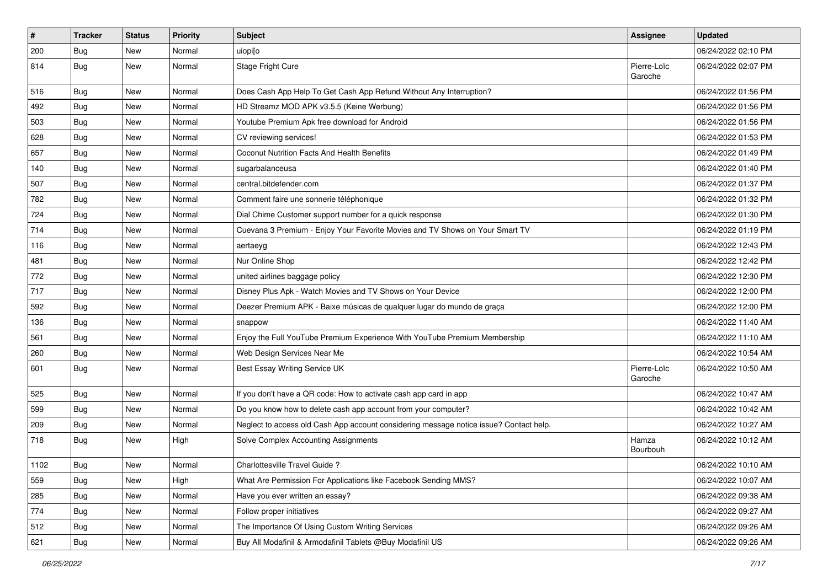| $\vert$ # | <b>Tracker</b> | <b>Status</b> | <b>Priority</b> | <b>Subject</b>                                                                         | <b>Assignee</b>        | <b>Updated</b>      |
|-----------|----------------|---------------|-----------------|----------------------------------------------------------------------------------------|------------------------|---------------------|
| 200       | <b>Bug</b>     | New           | Normal          | uiopi[o                                                                                |                        | 06/24/2022 02:10 PM |
| 814       | <b>Bug</b>     | New           | Normal          | Stage Fright Cure                                                                      | Pierre-Loïc<br>Garoche | 06/24/2022 02:07 PM |
| 516       | Bug            | New           | Normal          | Does Cash App Help To Get Cash App Refund Without Any Interruption?                    |                        | 06/24/2022 01:56 PM |
| 492       | Bug            | <b>New</b>    | Normal          | HD Streamz MOD APK v3.5.5 (Keine Werbung)                                              |                        | 06/24/2022 01:56 PM |
| 503       | <b>Bug</b>     | New           | Normal          | Youtube Premium Apk free download for Android                                          |                        | 06/24/2022 01:56 PM |
| 628       | Bug            | New           | Normal          | CV reviewing services!                                                                 |                        | 06/24/2022 01:53 PM |
| 657       | Bug            | New           | Normal          | Coconut Nutrition Facts And Health Benefits                                            |                        | 06/24/2022 01:49 PM |
| 140       | <b>Bug</b>     | New           | Normal          | sugarbalanceusa                                                                        |                        | 06/24/2022 01:40 PM |
| 507       | Bug            | <b>New</b>    | Normal          | central.bitdefender.com                                                                |                        | 06/24/2022 01:37 PM |
| 782       | Bug            | New           | Normal          | Comment faire une sonnerie téléphonique                                                |                        | 06/24/2022 01:32 PM |
| 724       | <b>Bug</b>     | <b>New</b>    | Normal          | Dial Chime Customer support number for a quick response                                |                        | 06/24/2022 01:30 PM |
| 714       | Bug            | New           | Normal          | Cuevana 3 Premium - Enjoy Your Favorite Movies and TV Shows on Your Smart TV           |                        | 06/24/2022 01:19 PM |
| 116       | <b>Bug</b>     | New           | Normal          | aertaeyg                                                                               |                        | 06/24/2022 12:43 PM |
| 481       | Bug            | <b>New</b>    | Normal          | Nur Online Shop                                                                        |                        | 06/24/2022 12:42 PM |
| 772       | <b>Bug</b>     | New           | Normal          | united airlines baggage policy                                                         |                        | 06/24/2022 12:30 PM |
| 717       | <b>Bug</b>     | New           | Normal          | Disney Plus Apk - Watch Movies and TV Shows on Your Device                             |                        | 06/24/2022 12:00 PM |
| 592       | Bug            | New           | Normal          | Deezer Premium APK - Baixe músicas de qualquer lugar do mundo de graça                 |                        | 06/24/2022 12:00 PM |
| 136       | <b>Bug</b>     | New           | Normal          | snappow                                                                                |                        | 06/24/2022 11:40 AM |
| 561       | Bug            | New           | Normal          | Enjoy the Full YouTube Premium Experience With YouTube Premium Membership              |                        | 06/24/2022 11:10 AM |
| 260       | <b>Bug</b>     | <b>New</b>    | Normal          | Web Design Services Near Me                                                            |                        | 06/24/2022 10:54 AM |
| 601       | <b>Bug</b>     | New           | Normal          | Best Essay Writing Service UK                                                          | Pierre-Loïc<br>Garoche | 06/24/2022 10:50 AM |
| 525       | <b>Bug</b>     | New           | Normal          | If you don't have a QR code: How to activate cash app card in app                      |                        | 06/24/2022 10:47 AM |
| 599       | <b>Bug</b>     | New           | Normal          | Do you know how to delete cash app account from your computer?                         |                        | 06/24/2022 10:42 AM |
| 209       | Bug            | New           | Normal          | Neglect to access old Cash App account considering message notice issue? Contact help. |                        | 06/24/2022 10:27 AM |
| 718       | <b>Bug</b>     | New           | High            | Solve Complex Accounting Assignments                                                   | Hamza<br>Bourbouh      | 06/24/2022 10:12 AM |
| 1102      | Bug            | New           | Normal          | Charlottesville Travel Guide ?                                                         |                        | 06/24/2022 10:10 AM |
| 559       | <b>Bug</b>     | New           | High            | What Are Permission For Applications like Facebook Sending MMS?                        |                        | 06/24/2022 10:07 AM |
| 285       | Bug            | New           | Normal          | Have you ever written an essay?                                                        |                        | 06/24/2022 09:38 AM |
| 774       | Bug            | New           | Normal          | Follow proper initiatives                                                              |                        | 06/24/2022 09:27 AM |
| 512       | Bug            | New           | Normal          | The Importance Of Using Custom Writing Services                                        |                        | 06/24/2022 09:26 AM |
| 621       | <b>Bug</b>     | New           | Normal          | Buy All Modafinil & Armodafinil Tablets @Buy Modafinil US                              |                        | 06/24/2022 09:26 AM |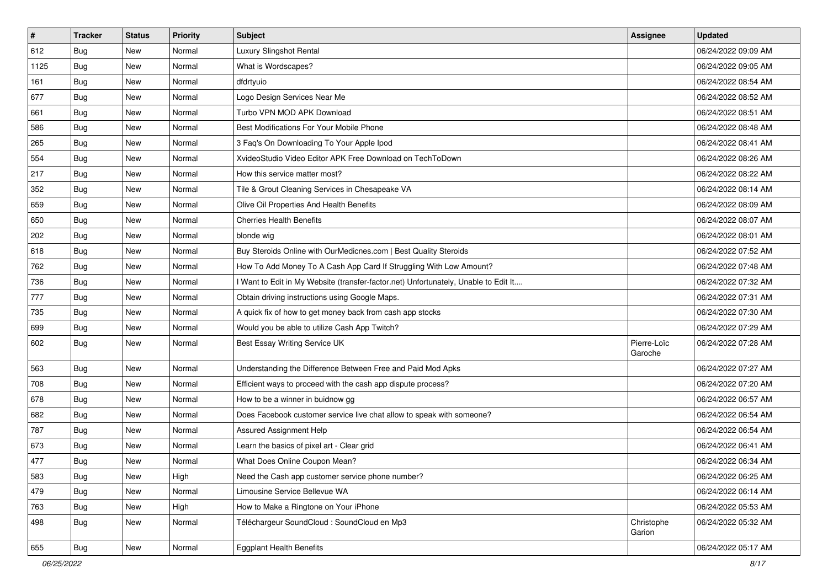| $\vert$ # | <b>Tracker</b> | <b>Status</b> | <b>Priority</b> | Subject                                                                             | <b>Assignee</b>        | <b>Updated</b>      |
|-----------|----------------|---------------|-----------------|-------------------------------------------------------------------------------------|------------------------|---------------------|
| 612       | <b>Bug</b>     | New           | Normal          | Luxury Slingshot Rental                                                             |                        | 06/24/2022 09:09 AM |
| 1125      | Bug            | New           | Normal          | What is Wordscapes?                                                                 |                        | 06/24/2022 09:05 AM |
| 161       | Bug            | New           | Normal          | dfdrtyuio                                                                           |                        | 06/24/2022 08:54 AM |
| 677       | Bug            | <b>New</b>    | Normal          | Logo Design Services Near Me                                                        |                        | 06/24/2022 08:52 AM |
| 661       | Bug            | New           | Normal          | Turbo VPN MOD APK Download                                                          |                        | 06/24/2022 08:51 AM |
| 586       | <b>Bug</b>     | <b>New</b>    | Normal          | Best Modifications For Your Mobile Phone                                            |                        | 06/24/2022 08:48 AM |
| 265       | <b>Bug</b>     | New           | Normal          | 3 Faq's On Downloading To Your Apple Ipod                                           |                        | 06/24/2022 08:41 AM |
| 554       | <b>Bug</b>     | New           | Normal          | XvideoStudio Video Editor APK Free Download on TechToDown                           |                        | 06/24/2022 08:26 AM |
| 217       | Bug            | New           | Normal          | How this service matter most?                                                       |                        | 06/24/2022 08:22 AM |
| 352       | Bug            | New           | Normal          | Tile & Grout Cleaning Services in Chesapeake VA                                     |                        | 06/24/2022 08:14 AM |
| 659       | <b>Bug</b>     | New           | Normal          | Olive Oil Properties And Health Benefits                                            |                        | 06/24/2022 08:09 AM |
| 650       | <b>Bug</b>     | New           | Normal          | Cherries Health Benefits                                                            |                        | 06/24/2022 08:07 AM |
| 202       | Bug            | New           | Normal          | blonde wig                                                                          |                        | 06/24/2022 08:01 AM |
| 618       | Bug            | New           | Normal          | Buy Steroids Online with OurMedicnes.com   Best Quality Steroids                    |                        | 06/24/2022 07:52 AM |
| 762       | <b>Bug</b>     | <b>New</b>    | Normal          | How To Add Money To A Cash App Card If Struggling With Low Amount?                  |                        | 06/24/2022 07:48 AM |
| 736       | Bug            | New           | Normal          | I Want to Edit in My Website (transfer-factor.net) Unfortunately, Unable to Edit It |                        | 06/24/2022 07:32 AM |
| 777       | <b>Bug</b>     | <b>New</b>    | Normal          | Obtain driving instructions using Google Maps.                                      |                        | 06/24/2022 07:31 AM |
| 735       | Bug            | New           | Normal          | A quick fix of how to get money back from cash app stocks                           |                        | 06/24/2022 07:30 AM |
| 699       | Bug            | New           | Normal          | Would you be able to utilize Cash App Twitch?                                       |                        | 06/24/2022 07:29 AM |
| 602       | <b>Bug</b>     | New           | Normal          | Best Essay Writing Service UK                                                       | Pierre-Loïc<br>Garoche | 06/24/2022 07:28 AM |
| 563       | <b>Bug</b>     | New           | Normal          | Understanding the Difference Between Free and Paid Mod Apks                         |                        | 06/24/2022 07:27 AM |
| 708       | Bug            | New           | Normal          | Efficient ways to proceed with the cash app dispute process?                        |                        | 06/24/2022 07:20 AM |
| 678       | <b>Bug</b>     | New           | Normal          | How to be a winner in buidnow gg                                                    |                        | 06/24/2022 06:57 AM |
| 682       | <b>Bug</b>     | New           | Normal          | Does Facebook customer service live chat allow to speak with someone?               |                        | 06/24/2022 06:54 AM |
| 787       | Bug            | New           | Normal          | Assured Assignment Help                                                             |                        | 06/24/2022 06:54 AM |
| 673       | Bug            | New           | Normal          | Learn the basics of pixel art - Clear grid                                          |                        | 06/24/2022 06:41 AM |
| 477       | <b>Bug</b>     | New           | Normal          | What Does Online Coupon Mean?                                                       |                        | 06/24/2022 06:34 AM |
| 583       | <b>Bug</b>     | New           | High            | Need the Cash app customer service phone number?                                    |                        | 06/24/2022 06:25 AM |
| 479       | <b>Bug</b>     | New           | Normal          | Limousine Service Bellevue WA                                                       |                        | 06/24/2022 06:14 AM |
| 763       | Bug            | New           | High            | How to Make a Ringtone on Your iPhone                                               |                        | 06/24/2022 05:53 AM |
| 498       | Bug            | New           | Normal          | Téléchargeur SoundCloud : SoundCloud en Mp3                                         | Christophe<br>Garion   | 06/24/2022 05:32 AM |
| 655       | <b>Bug</b>     | New           | Normal          | <b>Eggplant Health Benefits</b>                                                     |                        | 06/24/2022 05:17 AM |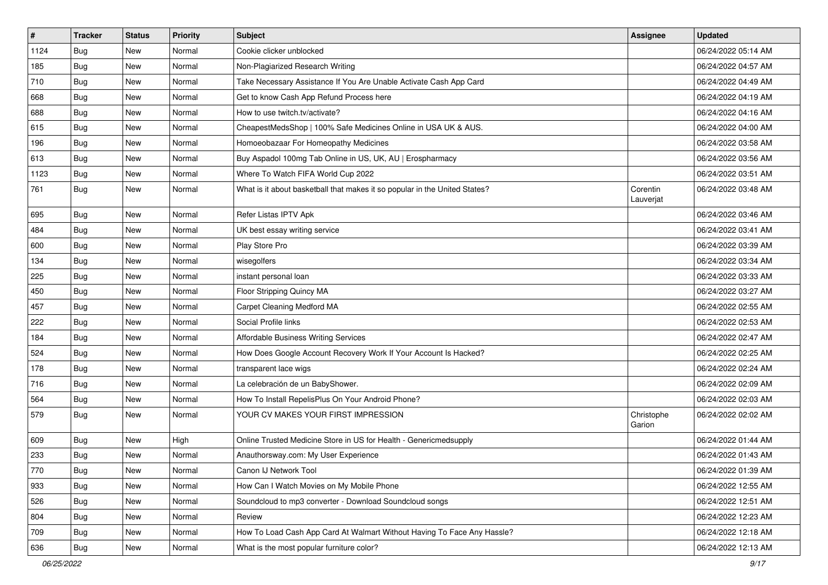| $\sharp$ | <b>Tracker</b> | <b>Status</b> | Priority | <b>Subject</b>                                                             | <b>Assignee</b>       | <b>Updated</b>      |
|----------|----------------|---------------|----------|----------------------------------------------------------------------------|-----------------------|---------------------|
| 1124     | <b>Bug</b>     | New           | Normal   | Cookie clicker unblocked                                                   |                       | 06/24/2022 05:14 AM |
| 185      | <b>Bug</b>     | New           | Normal   | Non-Plagiarized Research Writing                                           |                       | 06/24/2022 04:57 AM |
| 710      | Bug            | New           | Normal   | Take Necessary Assistance If You Are Unable Activate Cash App Card         |                       | 06/24/2022 04:49 AM |
| 668      | <b>Bug</b>     | <b>New</b>    | Normal   | Get to know Cash App Refund Process here                                   |                       | 06/24/2022 04:19 AM |
| 688      | <b>Bug</b>     | New           | Normal   | How to use twitch.tv/activate?                                             |                       | 06/24/2022 04:16 AM |
| 615      | <b>Bug</b>     | <b>New</b>    | Normal   | CheapestMedsShop   100% Safe Medicines Online in USA UK & AUS.             |                       | 06/24/2022 04:00 AM |
| 196      | Bug            | New           | Normal   | Homoeobazaar For Homeopathy Medicines                                      |                       | 06/24/2022 03:58 AM |
| 613      | <b>Bug</b>     | New           | Normal   | Buy Aspadol 100mg Tab Online in US, UK, AU   Erospharmacy                  |                       | 06/24/2022 03:56 AM |
| 1123     | <b>Bug</b>     | New           | Normal   | Where To Watch FIFA World Cup 2022                                         |                       | 06/24/2022 03:51 AM |
| 761      | <b>Bug</b>     | New           | Normal   | What is it about basketball that makes it so popular in the United States? | Corentin<br>Lauverjat | 06/24/2022 03:48 AM |
| 695      | <b>Bug</b>     | <b>New</b>    | Normal   | Refer Listas IPTV Apk                                                      |                       | 06/24/2022 03:46 AM |
| 484      | Bug            | New           | Normal   | UK best essay writing service                                              |                       | 06/24/2022 03:41 AM |
| 600      | Bug            | New           | Normal   | Play Store Pro                                                             |                       | 06/24/2022 03:39 AM |
| 134      | Bug            | <b>New</b>    | Normal   | wisegolfers                                                                |                       | 06/24/2022 03:34 AM |
| 225      | <b>Bug</b>     | New           | Normal   | instant personal loan                                                      |                       | 06/24/2022 03:33 AM |
| 450      | Bug            | New           | Normal   | Floor Stripping Quincy MA                                                  |                       | 06/24/2022 03:27 AM |
| 457      | Bug            | New           | Normal   | <b>Carpet Cleaning Medford MA</b>                                          |                       | 06/24/2022 02:55 AM |
| 222      | <b>Bug</b>     | <b>New</b>    | Normal   | Social Profile links                                                       |                       | 06/24/2022 02:53 AM |
| 184      | Bug            | New           | Normal   | Affordable Business Writing Services                                       |                       | 06/24/2022 02:47 AM |
| 524      | Bug            | <b>New</b>    | Normal   | How Does Google Account Recovery Work If Your Account Is Hacked?           |                       | 06/24/2022 02:25 AM |
| 178      | <b>Bug</b>     | New           | Normal   | transparent lace wigs                                                      |                       | 06/24/2022 02:24 AM |
| 716      | Bug            | <b>New</b>    | Normal   | La celebración de un BabyShower.                                           |                       | 06/24/2022 02:09 AM |
| 564      | Bug            | New           | Normal   | How To Install RepelisPlus On Your Android Phone?                          |                       | 06/24/2022 02:03 AM |
| 579      | Bug            | New           | Normal   | YOUR CV MAKES YOUR FIRST IMPRESSION                                        | Christophe<br>Garion  | 06/24/2022 02:02 AM |
| 609      | <b>Bug</b>     | New           | High     | Online Trusted Medicine Store in US for Health - Genericmedsupply          |                       | 06/24/2022 01:44 AM |
| 233      | <b>Bug</b>     | New           | Normal   | Anauthorsway.com: My User Experience                                       |                       | 06/24/2022 01:43 AM |
| 770      | Bug            | New           | Normal   | Canon IJ Network Tool                                                      |                       | 06/24/2022 01:39 AM |
| 933      | Bug            | New           | Normal   | How Can I Watch Movies on My Mobile Phone                                  |                       | 06/24/2022 12:55 AM |
| 526      | Bug            | New           | Normal   | Soundcloud to mp3 converter - Download Soundcloud songs                    |                       | 06/24/2022 12:51 AM |
| 804      | <b>Bug</b>     | New           | Normal   | Review                                                                     |                       | 06/24/2022 12:23 AM |
| 709      | Bug            | New           | Normal   | How To Load Cash App Card At Walmart Without Having To Face Any Hassle?    |                       | 06/24/2022 12:18 AM |
| 636      | <b>Bug</b>     | New           | Normal   | What is the most popular furniture color?                                  |                       | 06/24/2022 12:13 AM |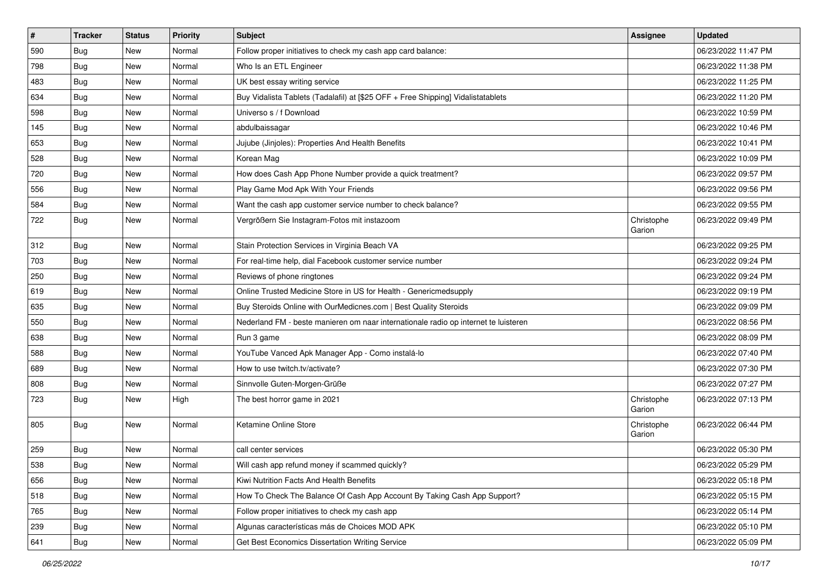| #   | <b>Tracker</b> | <b>Status</b> | <b>Priority</b> | Subject                                                                             | <b>Assignee</b>      | <b>Updated</b>      |
|-----|----------------|---------------|-----------------|-------------------------------------------------------------------------------------|----------------------|---------------------|
| 590 | <b>Bug</b>     | New           | Normal          | Follow proper initiatives to check my cash app card balance:                        |                      | 06/23/2022 11:47 PM |
| 798 | <b>Bug</b>     | New           | Normal          | Who Is an ETL Engineer                                                              |                      | 06/23/2022 11:38 PM |
| 483 | Bug            | New           | Normal          | UK best essay writing service                                                       |                      | 06/23/2022 11:25 PM |
| 634 | <b>Bug</b>     | New           | Normal          | Buy Vidalista Tablets (Tadalafil) at [\$25 OFF + Free Shipping] Vidalistatablets    |                      | 06/23/2022 11:20 PM |
| 598 | <b>Bug</b>     | New           | Normal          | Universo s / f Download                                                             |                      | 06/23/2022 10:59 PM |
| 145 | <b>Bug</b>     | New           | Normal          | abdulbaissagar                                                                      |                      | 06/23/2022 10:46 PM |
| 653 | Bug            | New           | Normal          | Jujube (Jinjoles): Properties And Health Benefits                                   |                      | 06/23/2022 10:41 PM |
| 528 | <b>Bug</b>     | New           | Normal          | Korean Mag                                                                          |                      | 06/23/2022 10:09 PM |
| 720 | <b>Bug</b>     | New           | Normal          | How does Cash App Phone Number provide a quick treatment?                           |                      | 06/23/2022 09:57 PM |
| 556 | Bug            | New           | Normal          | Play Game Mod Apk With Your Friends                                                 |                      | 06/23/2022 09:56 PM |
| 584 | <b>Bug</b>     | New           | Normal          | Want the cash app customer service number to check balance?                         |                      | 06/23/2022 09:55 PM |
| 722 | Bug            | New           | Normal          | Vergrößern Sie Instagram-Fotos mit instazoom                                        | Christophe<br>Garion | 06/23/2022 09:49 PM |
| 312 | <b>Bug</b>     | New           | Normal          | Stain Protection Services in Virginia Beach VA                                      |                      | 06/23/2022 09:25 PM |
| 703 | <b>Bug</b>     | New           | Normal          | For real-time help, dial Facebook customer service number                           |                      | 06/23/2022 09:24 PM |
| 250 | <b>Bug</b>     | New           | Normal          | Reviews of phone ringtones                                                          |                      | 06/23/2022 09:24 PM |
| 619 | <b>Bug</b>     | New           | Normal          | Online Trusted Medicine Store in US for Health - Genericmedsupply                   |                      | 06/23/2022 09:19 PM |
| 635 | Bug            | New           | Normal          | Buy Steroids Online with OurMedicnes.com   Best Quality Steroids                    |                      | 06/23/2022 09:09 PM |
| 550 | <b>Bug</b>     | New           | Normal          | Nederland FM - beste manieren om naar internationale radio op internet te luisteren |                      | 06/23/2022 08:56 PM |
| 638 | Bug            | New           | Normal          | Run 3 game                                                                          |                      | 06/23/2022 08:09 PM |
| 588 | Bug            | New           | Normal          | YouTube Vanced Apk Manager App - Como instalá-lo                                    |                      | 06/23/2022 07:40 PM |
| 689 | <b>Bug</b>     | New           | Normal          | How to use twitch.tv/activate?                                                      |                      | 06/23/2022 07:30 PM |
| 808 | <b>Bug</b>     | New           | Normal          | Sinnvolle Guten-Morgen-Grüße                                                        |                      | 06/23/2022 07:27 PM |
| 723 | <b>Bug</b>     | New           | High            | The best horror game in 2021                                                        | Christophe<br>Garion | 06/23/2022 07:13 PM |
| 805 | Bug            | New           | Normal          | Ketamine Online Store                                                               | Christophe<br>Garion | 06/23/2022 06:44 PM |
| 259 | <b>Bug</b>     | New           | Normal          | call center services                                                                |                      | 06/23/2022 05:30 PM |
| 538 | <b>Bug</b>     | New           | Normal          | Will cash app refund money if scammed quickly?                                      |                      | 06/23/2022 05:29 PM |
| 656 | <b>Bug</b>     | New           | Normal          | Kiwi Nutrition Facts And Health Benefits                                            |                      | 06/23/2022 05:18 PM |
| 518 | <b>Bug</b>     | New           | Normal          | How To Check The Balance Of Cash App Account By Taking Cash App Support?            |                      | 06/23/2022 05:15 PM |
| 765 | <b>Bug</b>     | New           | Normal          | Follow proper initiatives to check my cash app                                      |                      | 06/23/2022 05:14 PM |
| 239 | <b>Bug</b>     | New           | Normal          | Algunas características más de Choices MOD APK                                      |                      | 06/23/2022 05:10 PM |
| 641 | <b>Bug</b>     | New           | Normal          | Get Best Economics Dissertation Writing Service                                     |                      | 06/23/2022 05:09 PM |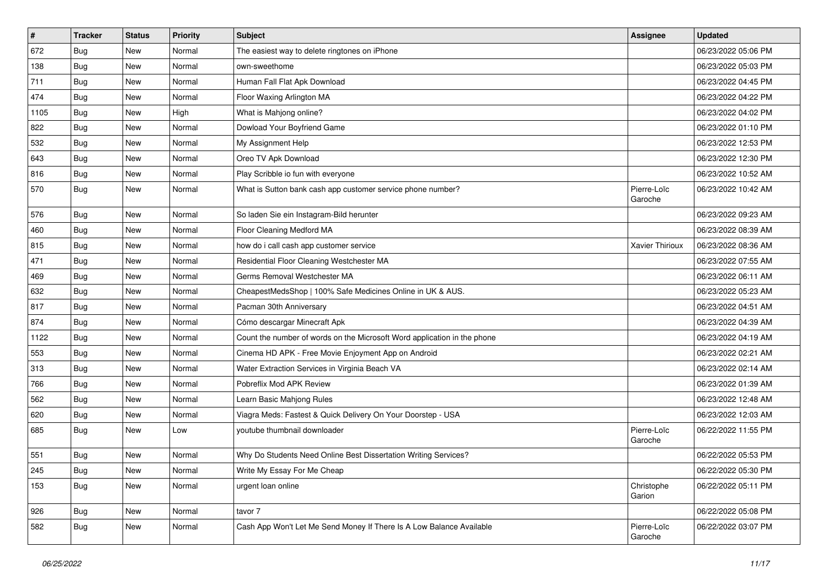| $\vert$ # | <b>Tracker</b> | <b>Status</b> | <b>Priority</b> | Subject                                                                  | <b>Assignee</b>        | <b>Updated</b>      |
|-----------|----------------|---------------|-----------------|--------------------------------------------------------------------------|------------------------|---------------------|
| 672       | Bug            | New           | Normal          | The easiest way to delete ringtones on iPhone                            |                        | 06/23/2022 05:06 PM |
| 138       | <b>Bug</b>     | <b>New</b>    | Normal          | own-sweethome                                                            |                        | 06/23/2022 05:03 PM |
| 711       | <b>Bug</b>     | New           | Normal          | Human Fall Flat Apk Download                                             |                        | 06/23/2022 04:45 PM |
| 474       | <b>Bug</b>     | New           | Normal          | Floor Waxing Arlington MA                                                |                        | 06/23/2022 04:22 PM |
| 1105      | <b>Bug</b>     | <b>New</b>    | High            | What is Mahjong online?                                                  |                        | 06/23/2022 04:02 PM |
| 822       | <b>Bug</b>     | New           | Normal          | Dowload Your Boyfriend Game                                              |                        | 06/23/2022 01:10 PM |
| 532       | <b>Bug</b>     | <b>New</b>    | Normal          | My Assignment Help                                                       |                        | 06/23/2022 12:53 PM |
| 643       | <b>Bug</b>     | New           | Normal          | Oreo TV Apk Download                                                     |                        | 06/23/2022 12:30 PM |
| 816       | <b>Bug</b>     | New           | Normal          | Play Scribble io fun with everyone                                       |                        | 06/23/2022 10:52 AM |
| 570       | <b>Bug</b>     | <b>New</b>    | Normal          | What is Sutton bank cash app customer service phone number?              | Pierre-Loïc<br>Garoche | 06/23/2022 10:42 AM |
| 576       | Bug            | New           | Normal          | So laden Sie ein Instagram-Bild herunter                                 |                        | 06/23/2022 09:23 AM |
| 460       | <b>Bug</b>     | <b>New</b>    | Normal          | Floor Cleaning Medford MA                                                |                        | 06/23/2022 08:39 AM |
| 815       | <b>Bug</b>     | New           | Normal          | how do i call cash app customer service                                  | Xavier Thirioux        | 06/23/2022 08:36 AM |
| 471       | Bug            | New           | Normal          | Residential Floor Cleaning Westchester MA                                |                        | 06/23/2022 07:55 AM |
| 469       | Bug            | New           | Normal          | Germs Removal Westchester MA                                             |                        | 06/23/2022 06:11 AM |
| 632       | <b>Bug</b>     | New           | Normal          | CheapestMedsShop   100% Safe Medicines Online in UK & AUS.               |                        | 06/23/2022 05:23 AM |
| 817       | Bug            | <b>New</b>    | Normal          | Pacman 30th Anniversary                                                  |                        | 06/23/2022 04:51 AM |
| 874       | <b>Bug</b>     | New           | Normal          | Cómo descargar Minecraft Apk                                             |                        | 06/23/2022 04:39 AM |
| 1122      | Bug            | New           | Normal          | Count the number of words on the Microsoft Word application in the phone |                        | 06/23/2022 04:19 AM |
| 553       | Bug            | New           | Normal          | Cinema HD APK - Free Movie Enjoyment App on Android                      |                        | 06/23/2022 02:21 AM |
| 313       | Bug            | New           | Normal          | Water Extraction Services in Virginia Beach VA                           |                        | 06/23/2022 02:14 AM |
| 766       | <b>Bug</b>     | <b>New</b>    | Normal          | Pobreflix Mod APK Review                                                 |                        | 06/23/2022 01:39 AM |
| 562       | Bug            | New           | Normal          | Learn Basic Mahjong Rules                                                |                        | 06/23/2022 12:48 AM |
| 620       | Bug            | New           | Normal          | Viagra Meds: Fastest & Quick Delivery On Your Doorstep - USA             |                        | 06/23/2022 12:03 AM |
| 685       | Bug            | New           | Low             | youtube thumbnail downloader                                             | Pierre-Loïc<br>Garoche | 06/22/2022 11:55 PM |
| 551       | <b>Bug</b>     | <b>New</b>    | Normal          | Why Do Students Need Online Best Dissertation Writing Services?          |                        | 06/22/2022 05:53 PM |
| 245       | Bug            | New           | Normal          | Write My Essay For Me Cheap                                              |                        | 06/22/2022 05:30 PM |
| 153       | Bug            | New           | Normal          | urgent loan online                                                       | Christophe<br>Garion   | 06/22/2022 05:11 PM |
| 926       | <b>Bug</b>     | New           | Normal          | tavor 7                                                                  |                        | 06/22/2022 05:08 PM |
| 582       | <b>Bug</b>     | New           | Normal          | Cash App Won't Let Me Send Money If There Is A Low Balance Available     | Pierre-Loïc<br>Garoche | 06/22/2022 03:07 PM |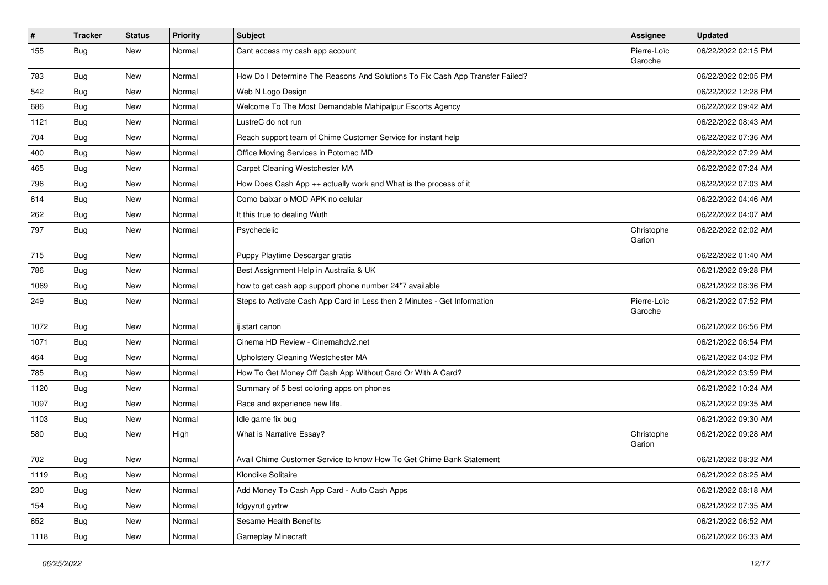| $\sharp$ | <b>Tracker</b> | <b>Status</b> | <b>Priority</b> | Subject                                                                       | <b>Assignee</b>        | <b>Updated</b>      |
|----------|----------------|---------------|-----------------|-------------------------------------------------------------------------------|------------------------|---------------------|
| 155      | Bug            | New           | Normal          | Cant access my cash app account                                               | Pierre-Loïc<br>Garoche | 06/22/2022 02:15 PM |
| 783      | <b>Bug</b>     | New           | Normal          | How Do I Determine The Reasons And Solutions To Fix Cash App Transfer Failed? |                        | 06/22/2022 02:05 PM |
| 542      | <b>Bug</b>     | New           | Normal          | Web N Logo Design                                                             |                        | 06/22/2022 12:28 PM |
| 686      | Bug            | New           | Normal          | Welcome To The Most Demandable Mahipalpur Escorts Agency                      |                        | 06/22/2022 09:42 AM |
| 1121     | <b>Bug</b>     | New           | Normal          | LustreC do not run                                                            |                        | 06/22/2022 08:43 AM |
| 704      | <b>Bug</b>     | New           | Normal          | Reach support team of Chime Customer Service for instant help                 |                        | 06/22/2022 07:36 AM |
| 400      | <b>Bug</b>     | New           | Normal          | Office Moving Services in Potomac MD                                          |                        | 06/22/2022 07:29 AM |
| 465      | <b>Bug</b>     | New           | Normal          | Carpet Cleaning Westchester MA                                                |                        | 06/22/2022 07:24 AM |
| 796      | Bug            | New           | Normal          | How Does Cash App ++ actually work and What is the process of it              |                        | 06/22/2022 07:03 AM |
| 614      | <b>Bug</b>     | New           | Normal          | Como baixar o MOD APK no celular                                              |                        | 06/22/2022 04:46 AM |
| 262      | Bug            | New           | Normal          | It this true to dealing Wuth                                                  |                        | 06/22/2022 04:07 AM |
| 797      | <b>Bug</b>     | New           | Normal          | Psychedelic                                                                   | Christophe<br>Garion   | 06/22/2022 02:02 AM |
| 715      | <b>Bug</b>     | New           | Normal          | Puppy Playtime Descargar gratis                                               |                        | 06/22/2022 01:40 AM |
| 786      | Bug            | New           | Normal          | Best Assignment Help in Australia & UK                                        |                        | 06/21/2022 09:28 PM |
| 1069     | <b>Bug</b>     | New           | Normal          | how to get cash app support phone number 24*7 available                       |                        | 06/21/2022 08:36 PM |
| 249      | <b>Bug</b>     | New           | Normal          | Steps to Activate Cash App Card in Less then 2 Minutes - Get Information      | Pierre-Loïc<br>Garoche | 06/21/2022 07:52 PM |
| 1072     | Bug            | New           | Normal          | ij.start canon                                                                |                        | 06/21/2022 06:56 PM |
| 1071     | <b>Bug</b>     | New           | Normal          | Cinema HD Review - Cinemahdy2.net                                             |                        | 06/21/2022 06:54 PM |
| 464      | <b>Bug</b>     | New           | Normal          | Upholstery Cleaning Westchester MA                                            |                        | 06/21/2022 04:02 PM |
| 785      | <b>Bug</b>     | <b>New</b>    | Normal          | How To Get Money Off Cash App Without Card Or With A Card?                    |                        | 06/21/2022 03:59 PM |
| 1120     | <b>Bug</b>     | New           | Normal          | Summary of 5 best coloring apps on phones                                     |                        | 06/21/2022 10:24 AM |
| 1097     | <b>Bug</b>     | New           | Normal          | Race and experience new life.                                                 |                        | 06/21/2022 09:35 AM |
| 1103     | Bug            | New           | Normal          | Idle game fix bug                                                             |                        | 06/21/2022 09:30 AM |
| 580      | <b>Bug</b>     | New           | High            | What is Narrative Essay?                                                      | Christophe<br>Garion   | 06/21/2022 09:28 AM |
| 702      | <b>Bug</b>     | <b>New</b>    | Normal          | Avail Chime Customer Service to know How To Get Chime Bank Statement          |                        | 06/21/2022 08:32 AM |
| 1119     | <b>Bug</b>     | New           | Normal          | Klondike Solitaire                                                            |                        | 06/21/2022 08:25 AM |
| 230      | <b>Bug</b>     | New           | Normal          | Add Money To Cash App Card - Auto Cash Apps                                   |                        | 06/21/2022 08:18 AM |
| 154      | <b>Bug</b>     | New           | Normal          | fdgyyrut gyrtrw                                                               |                        | 06/21/2022 07:35 AM |
| 652      | <b>Bug</b>     | New           | Normal          | Sesame Health Benefits                                                        |                        | 06/21/2022 06:52 AM |
| 1118     | Bug            | New           | Normal          | Gameplay Minecraft                                                            |                        | 06/21/2022 06:33 AM |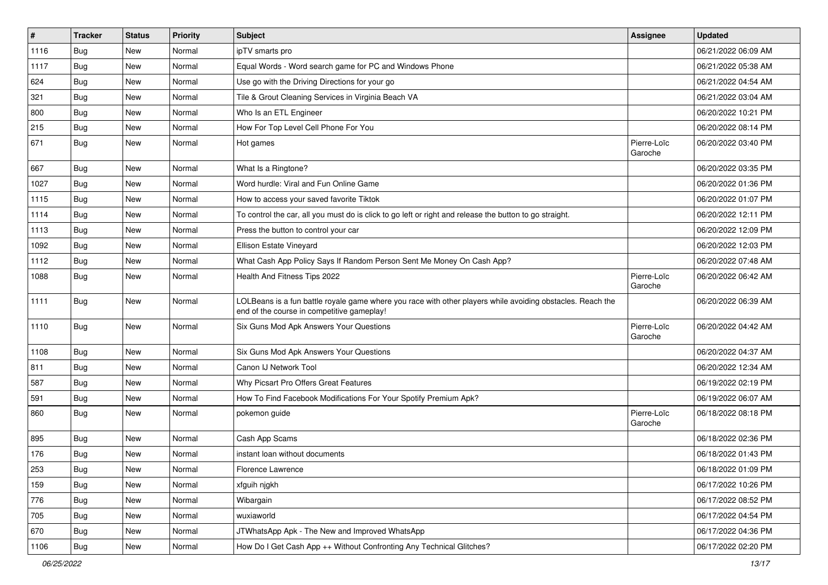| $\pmb{\#}$ | <b>Tracker</b> | <b>Status</b> | <b>Priority</b> | Subject                                                                                                                                                  | Assignee               | <b>Updated</b>      |
|------------|----------------|---------------|-----------------|----------------------------------------------------------------------------------------------------------------------------------------------------------|------------------------|---------------------|
| 1116       | <b>Bug</b>     | New           | Normal          | ipTV smarts pro                                                                                                                                          |                        | 06/21/2022 06:09 AM |
| 1117       | <b>Bug</b>     | <b>New</b>    | Normal          | Equal Words - Word search game for PC and Windows Phone                                                                                                  |                        | 06/21/2022 05:38 AM |
| 624        | Bug            | New           | Normal          | Use go with the Driving Directions for your go                                                                                                           |                        | 06/21/2022 04:54 AM |
| 321        | <b>Bug</b>     | New           | Normal          | Tile & Grout Cleaning Services in Virginia Beach VA                                                                                                      |                        | 06/21/2022 03:04 AM |
| 800        | Bug            | <b>New</b>    | Normal          | Who Is an ETL Engineer                                                                                                                                   |                        | 06/20/2022 10:21 PM |
| 215        | <b>Bug</b>     | New           | Normal          | How For Top Level Cell Phone For You                                                                                                                     |                        | 06/20/2022 08:14 PM |
| 671        | Bug            | New           | Normal          | Hot games                                                                                                                                                | Pierre-Loïc<br>Garoche | 06/20/2022 03:40 PM |
| 667        | Bug            | <b>New</b>    | Normal          | What Is a Ringtone?                                                                                                                                      |                        | 06/20/2022 03:35 PM |
| 1027       | <b>Bug</b>     | <b>New</b>    | Normal          | Word hurdle: Viral and Fun Online Game                                                                                                                   |                        | 06/20/2022 01:36 PM |
| 1115       | Bug            | New           | Normal          | How to access your saved favorite Tiktok                                                                                                                 |                        | 06/20/2022 01:07 PM |
| 1114       | <b>Bug</b>     | New           | Normal          | To control the car, all you must do is click to go left or right and release the button to go straight.                                                  |                        | 06/20/2022 12:11 PM |
| 1113       | Bug            | <b>New</b>    | Normal          | Press the button to control your car                                                                                                                     |                        | 06/20/2022 12:09 PM |
| 1092       | Bug            | New           | Normal          | Ellison Estate Vineyard                                                                                                                                  |                        | 06/20/2022 12:03 PM |
| 1112       | <b>Bug</b>     | <b>New</b>    | Normal          | What Cash App Policy Says If Random Person Sent Me Money On Cash App?                                                                                    |                        | 06/20/2022 07:48 AM |
| 1088       | Bug            | New           | Normal          | Health And Fitness Tips 2022                                                                                                                             | Pierre-Loïc<br>Garoche | 06/20/2022 06:42 AM |
| 1111       | <b>Bug</b>     | <b>New</b>    | Normal          | LOLBeans is a fun battle royale game where you race with other players while avoiding obstacles. Reach the<br>end of the course in competitive gameplay! |                        | 06/20/2022 06:39 AM |
| 1110       | <b>Bug</b>     | New           | Normal          | Six Guns Mod Apk Answers Your Questions                                                                                                                  | Pierre-Loïc<br>Garoche | 06/20/2022 04:42 AM |
| 1108       | Bug            | <b>New</b>    | Normal          | Six Guns Mod Apk Answers Your Questions                                                                                                                  |                        | 06/20/2022 04:37 AM |
| 811        | Bug            | <b>New</b>    | Normal          | Canon IJ Network Tool                                                                                                                                    |                        | 06/20/2022 12:34 AM |
| 587        | Bug            | New           | Normal          | Why Picsart Pro Offers Great Features                                                                                                                    |                        | 06/19/2022 02:19 PM |
| 591        | Bug            | <b>New</b>    | Normal          | How To Find Facebook Modifications For Your Spotify Premium Apk?                                                                                         |                        | 06/19/2022 06:07 AM |
| 860        | Bug            | New           | Normal          | pokemon guide                                                                                                                                            | Pierre-Loïc<br>Garoche | 06/18/2022 08:18 PM |
| 895        | <b>Bug</b>     | <b>New</b>    | Normal          | Cash App Scams                                                                                                                                           |                        | 06/18/2022 02:36 PM |
| 176        | <b>Bug</b>     | <b>New</b>    | Normal          | instant loan without documents                                                                                                                           |                        | 06/18/2022 01:43 PM |
| 253        | Bug            | New           | Normal          | Florence Lawrence                                                                                                                                        |                        | 06/18/2022 01:09 PM |
| 159        | <b>Bug</b>     | <b>New</b>    | Normal          | xfguih njgkh                                                                                                                                             |                        | 06/17/2022 10:26 PM |
| 776        | Bug            | New           | Normal          | Wibargain                                                                                                                                                |                        | 06/17/2022 08:52 PM |
| 705        | Bug            | New           | Normal          | wuxiaworld                                                                                                                                               |                        | 06/17/2022 04:54 PM |
| 670        | Bug            | New           | Normal          | JTWhatsApp Apk - The New and Improved WhatsApp                                                                                                           |                        | 06/17/2022 04:36 PM |
| 1106       | <b>Bug</b>     | New           | Normal          | How Do I Get Cash App ++ Without Confronting Any Technical Glitches?                                                                                     |                        | 06/17/2022 02:20 PM |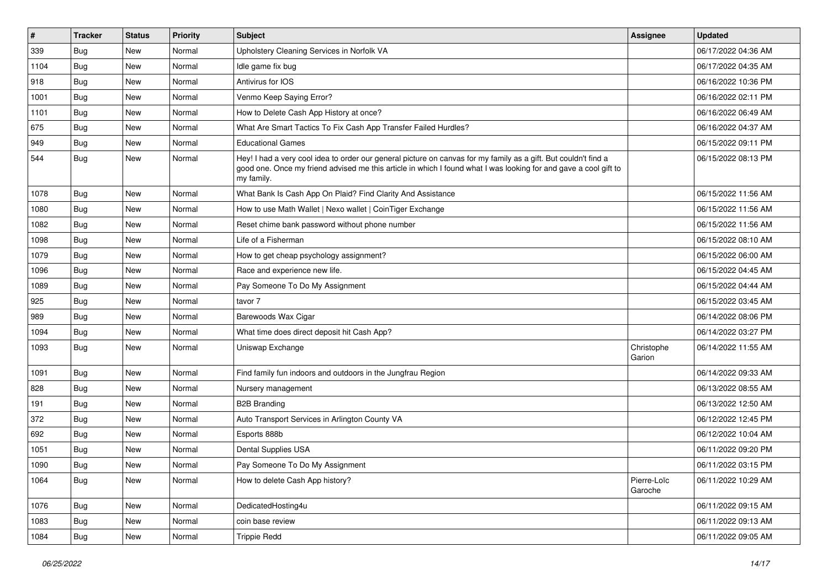| $\vert$ # | <b>Tracker</b> | <b>Status</b> | Priority | <b>Subject</b>                                                                                                                                                                                                                                    | <b>Assignee</b>        | <b>Updated</b>      |
|-----------|----------------|---------------|----------|---------------------------------------------------------------------------------------------------------------------------------------------------------------------------------------------------------------------------------------------------|------------------------|---------------------|
| 339       | Bug            | New           | Normal   | Upholstery Cleaning Services in Norfolk VA                                                                                                                                                                                                        |                        | 06/17/2022 04:36 AM |
| 1104      | <b>Bug</b>     | New           | Normal   | Idle game fix bug                                                                                                                                                                                                                                 |                        | 06/17/2022 04:35 AM |
| 918       | <b>Bug</b>     | New           | Normal   | Antivirus for IOS                                                                                                                                                                                                                                 |                        | 06/16/2022 10:36 PM |
| 1001      | <b>Bug</b>     | New           | Normal   | Venmo Keep Saying Error?                                                                                                                                                                                                                          |                        | 06/16/2022 02:11 PM |
| 1101      | <b>Bug</b>     | New           | Normal   | How to Delete Cash App History at once?                                                                                                                                                                                                           |                        | 06/16/2022 06:49 AM |
| 675       | <b>Bug</b>     | New           | Normal   | What Are Smart Tactics To Fix Cash App Transfer Failed Hurdles?                                                                                                                                                                                   |                        | 06/16/2022 04:37 AM |
| 949       | <b>Bug</b>     | New           | Normal   | <b>Educational Games</b>                                                                                                                                                                                                                          |                        | 06/15/2022 09:11 PM |
| 544       | Bug            | New           | Normal   | Hey! I had a very cool idea to order our general picture on canvas for my family as a gift. But couldn't find a<br>good one. Once my friend advised me this article in which I found what I was looking for and gave a cool gift to<br>my family. |                        | 06/15/2022 08:13 PM |
| 1078      | <b>Bug</b>     | New           | Normal   | What Bank Is Cash App On Plaid? Find Clarity And Assistance                                                                                                                                                                                       |                        | 06/15/2022 11:56 AM |
| 1080      | <b>Bug</b>     | New           | Normal   | How to use Math Wallet   Nexo wallet   CoinTiger Exchange                                                                                                                                                                                         |                        | 06/15/2022 11:56 AM |
| 1082      | Bug            | New           | Normal   | Reset chime bank password without phone number                                                                                                                                                                                                    |                        | 06/15/2022 11:56 AM |
| 1098      | <b>Bug</b>     | New           | Normal   | Life of a Fisherman                                                                                                                                                                                                                               |                        | 06/15/2022 08:10 AM |
| 1079      | <b>Bug</b>     | New           | Normal   | How to get cheap psychology assignment?                                                                                                                                                                                                           |                        | 06/15/2022 06:00 AM |
| 1096      | <b>Bug</b>     | New           | Normal   | Race and experience new life.                                                                                                                                                                                                                     |                        | 06/15/2022 04:45 AM |
| 1089      | <b>Bug</b>     | New           | Normal   | Pay Someone To Do My Assignment                                                                                                                                                                                                                   |                        | 06/15/2022 04:44 AM |
| 925       | Bug            | New           | Normal   | tavor 7                                                                                                                                                                                                                                           |                        | 06/15/2022 03:45 AM |
| 989       | Bug            | New           | Normal   | Barewoods Wax Cigar                                                                                                                                                                                                                               |                        | 06/14/2022 08:06 PM |
| 1094      | Bug            | New           | Normal   | What time does direct deposit hit Cash App?                                                                                                                                                                                                       |                        | 06/14/2022 03:27 PM |
| 1093      | <b>Bug</b>     | New           | Normal   | Uniswap Exchange                                                                                                                                                                                                                                  | Christophe<br>Garion   | 06/14/2022 11:55 AM |
| 1091      | <b>Bug</b>     | New           | Normal   | Find family fun indoors and outdoors in the Jungfrau Region                                                                                                                                                                                       |                        | 06/14/2022 09:33 AM |
| 828       | Bug            | New           | Normal   | Nursery management                                                                                                                                                                                                                                |                        | 06/13/2022 08:55 AM |
| 191       | <b>Bug</b>     | New           | Normal   | <b>B2B Branding</b>                                                                                                                                                                                                                               |                        | 06/13/2022 12:50 AM |
| 372       | Bug            | New           | Normal   | Auto Transport Services in Arlington County VA                                                                                                                                                                                                    |                        | 06/12/2022 12:45 PM |
| 692       | <b>Bug</b>     | New           | Normal   | Esports 888b                                                                                                                                                                                                                                      |                        | 06/12/2022 10:04 AM |
| 1051      | <b>Bug</b>     | New           | Normal   | Dental Supplies USA                                                                                                                                                                                                                               |                        | 06/11/2022 09:20 PM |
| 1090      | Bug            | New           | Normal   | Pay Someone To Do My Assignment                                                                                                                                                                                                                   |                        | 06/11/2022 03:15 PM |
| 1064      | <b>Bug</b>     | New           | Normal   | How to delete Cash App history?                                                                                                                                                                                                                   | Pierre-Loïc<br>Garoche | 06/11/2022 10:29 AM |
| 1076      | Bug            | New           | Normal   | DedicatedHosting4u                                                                                                                                                                                                                                |                        | 06/11/2022 09:15 AM |
| 1083      | <b>Bug</b>     | New           | Normal   | coin base review                                                                                                                                                                                                                                  |                        | 06/11/2022 09:13 AM |
| 1084      | <b>Bug</b>     | New           | Normal   | <b>Trippie Redd</b>                                                                                                                                                                                                                               |                        | 06/11/2022 09:05 AM |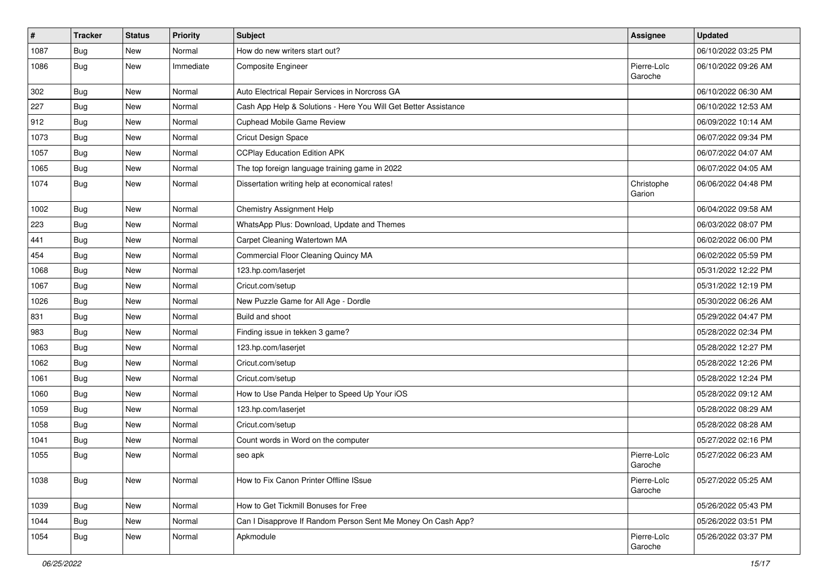| $\vert$ # | <b>Tracker</b> | <b>Status</b> | Priority  | Subject                                                         | <b>Assignee</b>        | <b>Updated</b>      |
|-----------|----------------|---------------|-----------|-----------------------------------------------------------------|------------------------|---------------------|
| 1087      | <b>Bug</b>     | New           | Normal    | How do new writers start out?                                   |                        | 06/10/2022 03:25 PM |
| 1086      | Bug            | New           | Immediate | Composite Engineer                                              | Pierre-Loïc<br>Garoche | 06/10/2022 09:26 AM |
| 302       | <b>Bug</b>     | <b>New</b>    | Normal    | Auto Electrical Repair Services in Norcross GA                  |                        | 06/10/2022 06:30 AM |
| 227       | Bug            | <b>New</b>    | Normal    | Cash App Help & Solutions - Here You Will Get Better Assistance |                        | 06/10/2022 12:53 AM |
| 912       | Bug            | <b>New</b>    | Normal    | Cuphead Mobile Game Review                                      |                        | 06/09/2022 10:14 AM |
| 1073      | Bug            | <b>New</b>    | Normal    | Cricut Design Space                                             |                        | 06/07/2022 09:34 PM |
| 1057      | Bug            | <b>New</b>    | Normal    | <b>CCPlay Education Edition APK</b>                             |                        | 06/07/2022 04:07 AM |
| 1065      | <b>Bug</b>     | New           | Normal    | The top foreign language training game in 2022                  |                        | 06/07/2022 04:05 AM |
| 1074      | Bug            | New           | Normal    | Dissertation writing help at economical rates!                  | Christophe<br>Garion   | 06/06/2022 04:48 PM |
| 1002      | Bug            | <b>New</b>    | Normal    | Chemistry Assignment Help                                       |                        | 06/04/2022 09:58 AM |
| 223       | Bug            | New           | Normal    | WhatsApp Plus: Download, Update and Themes                      |                        | 06/03/2022 08:07 PM |
| 441       | Bug            | <b>New</b>    | Normal    | Carpet Cleaning Watertown MA                                    |                        | 06/02/2022 06:00 PM |
| 454       | Bug            | <b>New</b>    | Normal    | Commercial Floor Cleaning Quincy MA                             |                        | 06/02/2022 05:59 PM |
| 1068      | Bug            | <b>New</b>    | Normal    | 123.hp.com/laserjet                                             |                        | 05/31/2022 12:22 PM |
| 1067      | Bug            | New           | Normal    | Cricut.com/setup                                                |                        | 05/31/2022 12:19 PM |
| 1026      | Bug            | <b>New</b>    | Normal    | New Puzzle Game for All Age - Dordle                            |                        | 05/30/2022 06:26 AM |
| 831       | <b>Bug</b>     | New           | Normal    | Build and shoot                                                 |                        | 05/29/2022 04:47 PM |
| 983       | <b>Bug</b>     | New           | Normal    | Finding issue in tekken 3 game?                                 |                        | 05/28/2022 02:34 PM |
| 1063      | Bug            | <b>New</b>    | Normal    | 123.hp.com/laserjet                                             |                        | 05/28/2022 12:27 PM |
| 1062      | Bug            | <b>New</b>    | Normal    | Cricut.com/setup                                                |                        | 05/28/2022 12:26 PM |
| 1061      | <b>Bug</b>     | <b>New</b>    | Normal    | Cricut.com/setup                                                |                        | 05/28/2022 12:24 PM |
| 1060      | Bug            | New           | Normal    | How to Use Panda Helper to Speed Up Your iOS                    |                        | 05/28/2022 09:12 AM |
| 1059      | Bug            | New           | Normal    | 123.hp.com/laserjet                                             |                        | 05/28/2022 08:29 AM |
| 1058      | Bug            | <b>New</b>    | Normal    | Cricut.com/setup                                                |                        | 05/28/2022 08:28 AM |
| 1041      | <b>Bug</b>     | New           | Normal    | Count words in Word on the computer                             |                        | 05/27/2022 02:16 PM |
| 1055      | Bug            | New           | Normal    | seo apk                                                         | Pierre-Loïc<br>Garoche | 05/27/2022 06:23 AM |
| 1038      | Bug            | New           | Normal    | How to Fix Canon Printer Offline ISsue                          | Pierre-Loïc<br>Garoche | 05/27/2022 05:25 AM |
| 1039      | Bug            | New           | Normal    | How to Get Tickmill Bonuses for Free                            |                        | 05/26/2022 05:43 PM |
| 1044      | Bug            | New           | Normal    | Can I Disapprove If Random Person Sent Me Money On Cash App?    |                        | 05/26/2022 03:51 PM |
| 1054      | <b>Bug</b>     | New           | Normal    | Apkmodule                                                       | Pierre-Loïc<br>Garoche | 05/26/2022 03:37 PM |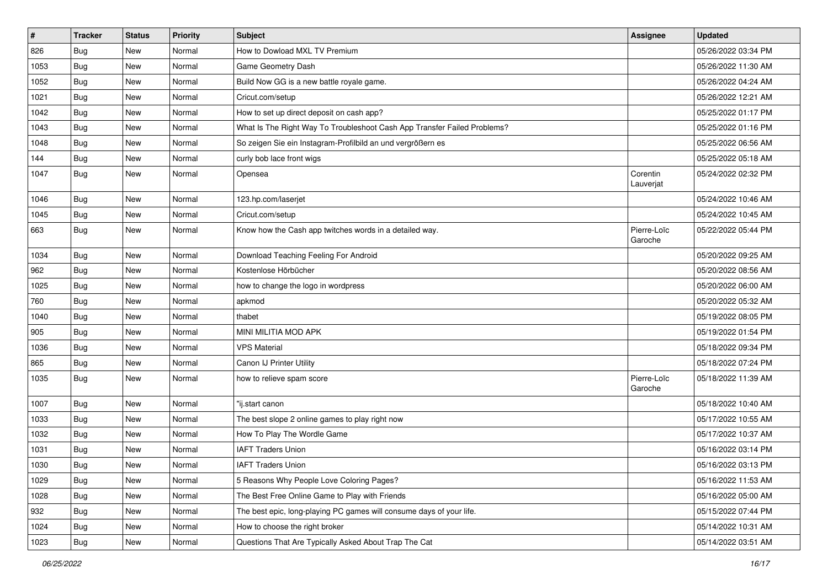| $\pmb{\#}$ | <b>Tracker</b> | <b>Status</b> | <b>Priority</b> | Subject                                                                  | <b>Assignee</b>        | <b>Updated</b>      |
|------------|----------------|---------------|-----------------|--------------------------------------------------------------------------|------------------------|---------------------|
| 826        | Bug            | New           | Normal          | How to Dowload MXL TV Premium                                            |                        | 05/26/2022 03:34 PM |
| 1053       | <b>Bug</b>     | New           | Normal          | Game Geometry Dash                                                       |                        | 05/26/2022 11:30 AM |
| 1052       | <b>Bug</b>     | New           | Normal          | Build Now GG is a new battle royale game.                                |                        | 05/26/2022 04:24 AM |
| 1021       | Bug            | New           | Normal          | Cricut.com/setup                                                         |                        | 05/26/2022 12:21 AM |
| 1042       | <b>Bug</b>     | New           | Normal          | How to set up direct deposit on cash app?                                |                        | 05/25/2022 01:17 PM |
| 1043       | <b>Bug</b>     | New           | Normal          | What Is The Right Way To Troubleshoot Cash App Transfer Failed Problems? |                        | 05/25/2022 01:16 PM |
| 1048       | <b>Bug</b>     | New           | Normal          | So zeigen Sie ein Instagram-Profilbild an und vergrößern es              |                        | 05/25/2022 06:56 AM |
| 144        | <b>Bug</b>     | New           | Normal          | curly bob lace front wigs                                                |                        | 05/25/2022 05:18 AM |
| 1047       | <b>Bug</b>     | New           | Normal          | Opensea                                                                  | Corentin<br>Lauverjat  | 05/24/2022 02:32 PM |
| 1046       | <b>Bug</b>     | New           | Normal          | 123.hp.com/laserjet                                                      |                        | 05/24/2022 10:46 AM |
| 1045       | Bug            | New           | Normal          | Cricut.com/setup                                                         |                        | 05/24/2022 10:45 AM |
| 663        | <b>Bug</b>     | New           | Normal          | Know how the Cash app twitches words in a detailed way.                  | Pierre-Loïc<br>Garoche | 05/22/2022 05:44 PM |
| 1034       | <b>Bug</b>     | New           | Normal          | Download Teaching Feeling For Android                                    |                        | 05/20/2022 09:25 AM |
| 962        | Bug            | New           | Normal          | Kostenlose Hörbücher                                                     |                        | 05/20/2022 08:56 AM |
| 1025       | <b>Bug</b>     | New           | Normal          | how to change the logo in wordpress                                      |                        | 05/20/2022 06:00 AM |
| 760        | Bug            | New           | Normal          | apkmod                                                                   |                        | 05/20/2022 05:32 AM |
| 1040       | <b>Bug</b>     | New           | Normal          | thabet                                                                   |                        | 05/19/2022 08:05 PM |
| 905        | Bug            | New           | Normal          | MINI MILITIA MOD APK                                                     |                        | 05/19/2022 01:54 PM |
| 1036       | <b>Bug</b>     | New           | Normal          | <b>VPS Material</b>                                                      |                        | 05/18/2022 09:34 PM |
| 865        | <b>Bug</b>     | New           | Normal          | Canon IJ Printer Utility                                                 |                        | 05/18/2022 07:24 PM |
| 1035       | <b>Bug</b>     | New           | Normal          | how to relieve spam score                                                | Pierre-Loïc<br>Garoche | 05/18/2022 11:39 AM |
| 1007       | <b>Bug</b>     | New           | Normal          | "ij.start canon                                                          |                        | 05/18/2022 10:40 AM |
| 1033       | Bug            | New           | Normal          | The best slope 2 online games to play right now                          |                        | 05/17/2022 10:55 AM |
| 1032       | <b>Bug</b>     | New           | Normal          | How To Play The Wordle Game                                              |                        | 05/17/2022 10:37 AM |
| 1031       | <b>Bug</b>     | New           | Normal          | <b>IAFT Traders Union</b>                                                |                        | 05/16/2022 03:14 PM |
| 1030       | Bug            | New           | Normal          | <b>IAFT Traders Union</b>                                                |                        | 05/16/2022 03:13 PM |
| 1029       | <b>Bug</b>     | New           | Normal          | 5 Reasons Why People Love Coloring Pages?                                |                        | 05/16/2022 11:53 AM |
| 1028       | <b>Bug</b>     | New           | Normal          | The Best Free Online Game to Play with Friends                           |                        | 05/16/2022 05:00 AM |
| 932        | <b>Bug</b>     | New           | Normal          | The best epic, long-playing PC games will consume days of your life.     |                        | 05/15/2022 07:44 PM |
| 1024       | <b>Bug</b>     | New           | Normal          | How to choose the right broker                                           |                        | 05/14/2022 10:31 AM |
| 1023       | <b>Bug</b>     | New           | Normal          | Questions That Are Typically Asked About Trap The Cat                    |                        | 05/14/2022 03:51 AM |